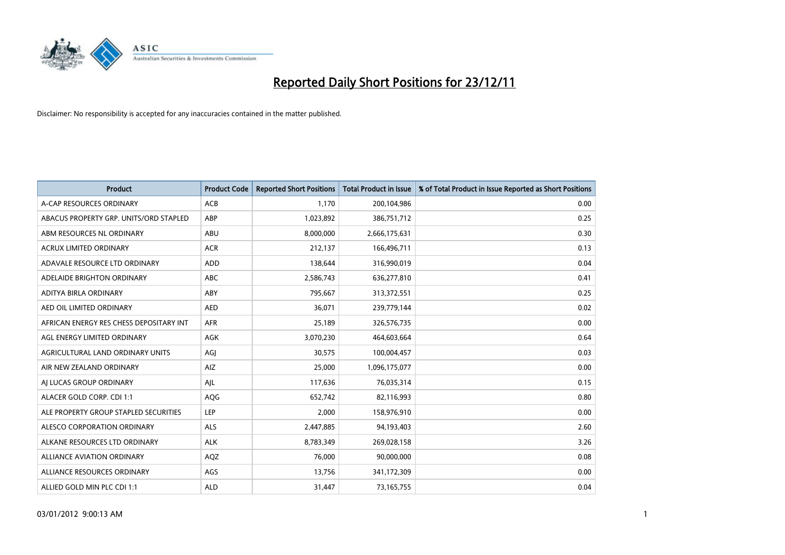

| <b>Product</b>                          | <b>Product Code</b> | <b>Reported Short Positions</b> | <b>Total Product in Issue</b> | % of Total Product in Issue Reported as Short Positions |
|-----------------------------------------|---------------------|---------------------------------|-------------------------------|---------------------------------------------------------|
| A-CAP RESOURCES ORDINARY                | <b>ACB</b>          | 1.170                           | 200,104,986                   | 0.00                                                    |
| ABACUS PROPERTY GRP. UNITS/ORD STAPLED  | <b>ABP</b>          | 1,023,892                       | 386,751,712                   | 0.25                                                    |
| ABM RESOURCES NL ORDINARY               | <b>ABU</b>          | 8,000,000                       | 2,666,175,631                 | 0.30                                                    |
| ACRUX LIMITED ORDINARY                  | <b>ACR</b>          | 212,137                         | 166,496,711                   | 0.13                                                    |
| ADAVALE RESOURCE LTD ORDINARY           | <b>ADD</b>          | 138,644                         | 316,990,019                   | 0.04                                                    |
| ADELAIDE BRIGHTON ORDINARY              | <b>ABC</b>          | 2,586,743                       | 636,277,810                   | 0.41                                                    |
| ADITYA BIRLA ORDINARY                   | ABY                 | 795,667                         | 313,372,551                   | 0.25                                                    |
| AED OIL LIMITED ORDINARY                | <b>AED</b>          | 36,071                          | 239,779,144                   | 0.02                                                    |
| AFRICAN ENERGY RES CHESS DEPOSITARY INT | <b>AFR</b>          | 25,189                          | 326,576,735                   | 0.00                                                    |
| AGL ENERGY LIMITED ORDINARY             | <b>AGK</b>          | 3,070,230                       | 464,603,664                   | 0.64                                                    |
| AGRICULTURAL LAND ORDINARY UNITS        | AGJ                 | 30,575                          | 100,004,457                   | 0.03                                                    |
| AIR NEW ZEALAND ORDINARY                | AIZ                 | 25,000                          | 1,096,175,077                 | 0.00                                                    |
| AI LUCAS GROUP ORDINARY                 | AJL                 | 117,636                         | 76,035,314                    | 0.15                                                    |
| ALACER GOLD CORP. CDI 1:1               | AQG                 | 652,742                         | 82,116,993                    | 0.80                                                    |
| ALE PROPERTY GROUP STAPLED SECURITIES   | LEP                 | 2,000                           | 158,976,910                   | 0.00                                                    |
| ALESCO CORPORATION ORDINARY             | <b>ALS</b>          | 2,447,885                       | 94,193,403                    | 2.60                                                    |
| ALKANE RESOURCES LTD ORDINARY           | <b>ALK</b>          | 8,783,349                       | 269,028,158                   | 3.26                                                    |
| ALLIANCE AVIATION ORDINARY              | AQZ                 | 76,000                          | 90,000,000                    | 0.08                                                    |
| ALLIANCE RESOURCES ORDINARY             | AGS                 | 13,756                          | 341,172,309                   | 0.00                                                    |
| ALLIED GOLD MIN PLC CDI 1:1             | <b>ALD</b>          | 31,447                          | 73,165,755                    | 0.04                                                    |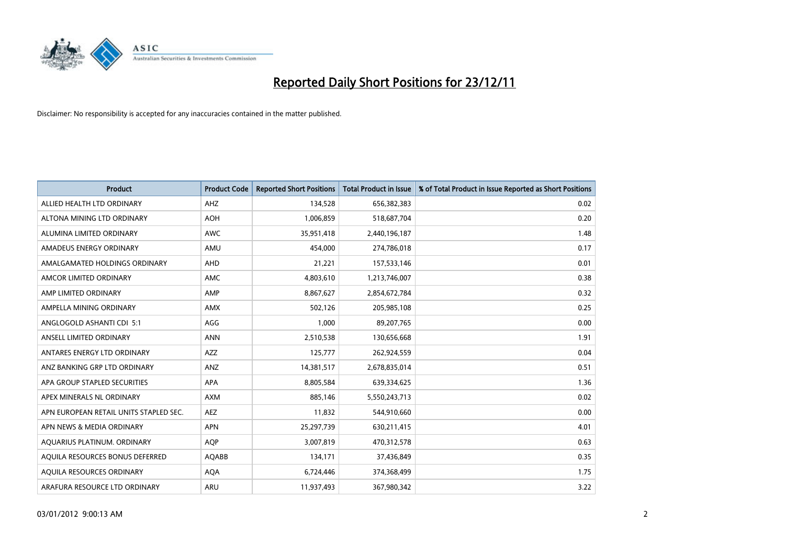

| <b>Product</b>                         | <b>Product Code</b> | <b>Reported Short Positions</b> | Total Product in Issue | % of Total Product in Issue Reported as Short Positions |
|----------------------------------------|---------------------|---------------------------------|------------------------|---------------------------------------------------------|
| ALLIED HEALTH LTD ORDINARY             | AHZ                 | 134.528                         | 656,382,383            | 0.02                                                    |
| ALTONA MINING LTD ORDINARY             | <b>AOH</b>          | 1,006,859                       | 518,687,704            | 0.20                                                    |
| ALUMINA LIMITED ORDINARY               | <b>AWC</b>          | 35,951,418                      | 2,440,196,187          | 1.48                                                    |
| AMADEUS ENERGY ORDINARY                | AMU                 | 454.000                         | 274,786,018            | 0.17                                                    |
| AMALGAMATED HOLDINGS ORDINARY          | AHD                 | 21,221                          | 157,533,146            | 0.01                                                    |
| AMCOR LIMITED ORDINARY                 | <b>AMC</b>          | 4,803,610                       | 1,213,746,007          | 0.38                                                    |
| AMP LIMITED ORDINARY                   | AMP                 | 8,867,627                       | 2,854,672,784          | 0.32                                                    |
| AMPELLA MINING ORDINARY                | <b>AMX</b>          | 502,126                         | 205,985,108            | 0.25                                                    |
| ANGLOGOLD ASHANTI CDI 5:1              | AGG                 | 1,000                           | 89,207,765             | 0.00                                                    |
| ANSELL LIMITED ORDINARY                | <b>ANN</b>          | 2,510,538                       | 130,656,668            | 1.91                                                    |
| ANTARES ENERGY LTD ORDINARY            | <b>AZZ</b>          | 125,777                         | 262,924,559            | 0.04                                                    |
| ANZ BANKING GRP LTD ORDINARY           | ANZ                 | 14,381,517                      | 2,678,835,014          | 0.51                                                    |
| APA GROUP STAPLED SECURITIES           | <b>APA</b>          | 8,805,584                       | 639,334,625            | 1.36                                                    |
| APEX MINERALS NL ORDINARY              | <b>AXM</b>          | 885,146                         | 5,550,243,713          | 0.02                                                    |
| APN EUROPEAN RETAIL UNITS STAPLED SEC. | AEZ                 | 11,832                          | 544,910,660            | 0.00                                                    |
| APN NEWS & MEDIA ORDINARY              | <b>APN</b>          | 25,297,739                      | 630,211,415            | 4.01                                                    |
| AQUARIUS PLATINUM. ORDINARY            | <b>AOP</b>          | 3,007,819                       | 470,312,578            | 0.63                                                    |
| AQUILA RESOURCES BONUS DEFERRED        | AQABB               | 134,171                         | 37,436,849             | 0.35                                                    |
| AQUILA RESOURCES ORDINARY              | <b>AQA</b>          | 6,724,446                       | 374,368,499            | 1.75                                                    |
| ARAFURA RESOURCE LTD ORDINARY          | <b>ARU</b>          | 11,937,493                      | 367,980,342            | 3.22                                                    |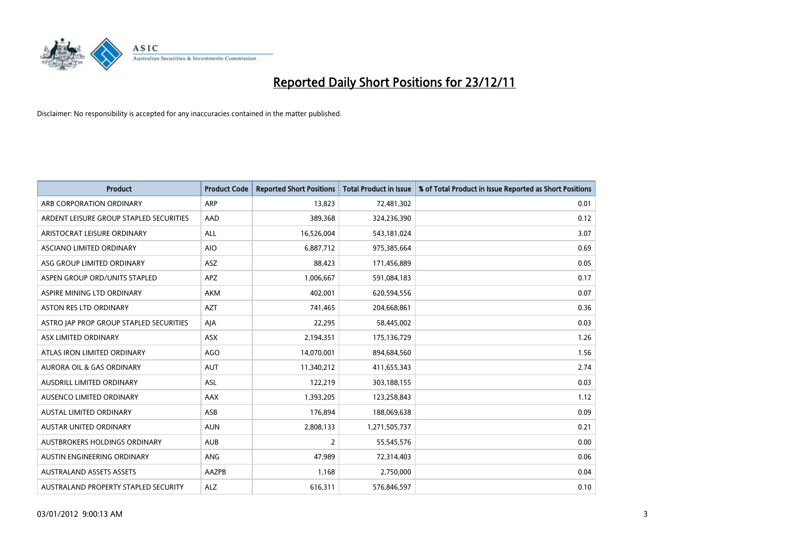

| <b>Product</b>                          | <b>Product Code</b> | <b>Reported Short Positions</b> | <b>Total Product in Issue</b> | % of Total Product in Issue Reported as Short Positions |
|-----------------------------------------|---------------------|---------------------------------|-------------------------------|---------------------------------------------------------|
| ARB CORPORATION ORDINARY                | ARP                 | 13,823                          | 72,481,302                    | 0.01                                                    |
| ARDENT LEISURE GROUP STAPLED SECURITIES | AAD                 | 389,368                         | 324,236,390                   | 0.12                                                    |
| ARISTOCRAT LEISURE ORDINARY             | <b>ALL</b>          | 16,526,004                      | 543,181,024                   | 3.07                                                    |
| ASCIANO LIMITED ORDINARY                | <b>AIO</b>          | 6,887,712                       | 975,385,664                   | 0.69                                                    |
| ASG GROUP LIMITED ORDINARY              | <b>ASZ</b>          | 88,423                          | 171,456,889                   | 0.05                                                    |
| ASPEN GROUP ORD/UNITS STAPLED           | <b>APZ</b>          | 1,006,667                       | 591,084,183                   | 0.17                                                    |
| ASPIRE MINING LTD ORDINARY              | AKM                 | 402,001                         | 620,594,556                   | 0.07                                                    |
| <b>ASTON RES LTD ORDINARY</b>           | <b>AZT</b>          | 741,465                         | 204,668,861                   | 0.36                                                    |
| ASTRO JAP PROP GROUP STAPLED SECURITIES | AIA                 | 22,295                          | 58,445,002                    | 0.03                                                    |
| ASX LIMITED ORDINARY                    | <b>ASX</b>          | 2,194,351                       | 175,136,729                   | 1.26                                                    |
| ATLAS IRON LIMITED ORDINARY             | <b>AGO</b>          | 14,070,001                      | 894,684,560                   | 1.56                                                    |
| <b>AURORA OIL &amp; GAS ORDINARY</b>    | <b>AUT</b>          | 11,340,212                      | 411,655,343                   | 2.74                                                    |
| AUSDRILL LIMITED ORDINARY               | ASL                 | 122,219                         | 303,188,155                   | 0.03                                                    |
| AUSENCO LIMITED ORDINARY                | AAX                 | 1,393,205                       | 123,258,843                   | 1.12                                                    |
| <b>AUSTAL LIMITED ORDINARY</b>          | ASB                 | 176,894                         | 188,069,638                   | 0.09                                                    |
| AUSTAR UNITED ORDINARY                  | <b>AUN</b>          | 2,808,133                       | 1,271,505,737                 | 0.21                                                    |
| AUSTBROKERS HOLDINGS ORDINARY           | <b>AUB</b>          | 2                               | 55,545,576                    | 0.00                                                    |
| AUSTIN ENGINEERING ORDINARY             | ANG                 | 47,989                          | 72,314,403                    | 0.06                                                    |
| <b>AUSTRALAND ASSETS ASSETS</b>         | AAZPB               | 1,168                           | 2,750,000                     | 0.04                                                    |
| AUSTRALAND PROPERTY STAPLED SECURITY    | <b>ALZ</b>          | 616,311                         | 576,846,597                   | 0.10                                                    |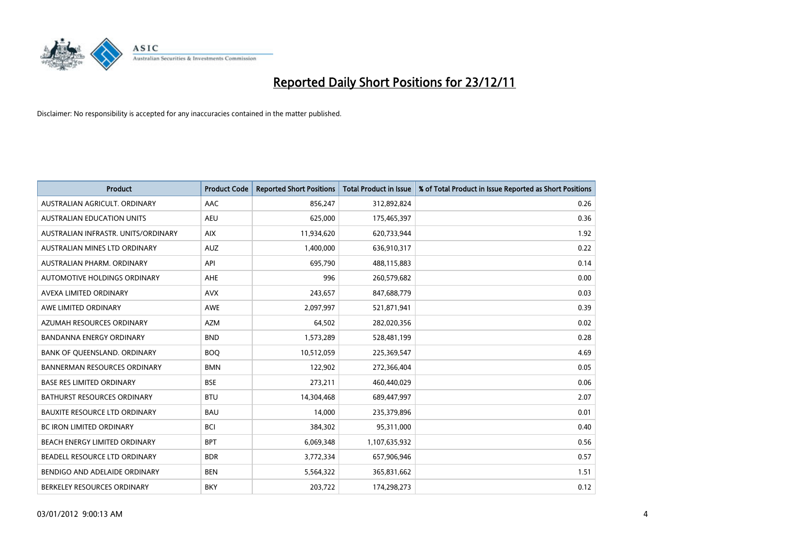

| <b>Product</b>                       | <b>Product Code</b> | <b>Reported Short Positions</b> | <b>Total Product in Issue</b> | % of Total Product in Issue Reported as Short Positions |
|--------------------------------------|---------------------|---------------------------------|-------------------------------|---------------------------------------------------------|
| AUSTRALIAN AGRICULT, ORDINARY        | <b>AAC</b>          | 856,247                         | 312,892,824                   | 0.26                                                    |
| <b>AUSTRALIAN EDUCATION UNITS</b>    | <b>AEU</b>          | 625,000                         | 175,465,397                   | 0.36                                                    |
| AUSTRALIAN INFRASTR, UNITS/ORDINARY  | <b>AIX</b>          | 11,934,620                      | 620,733,944                   | 1.92                                                    |
| AUSTRALIAN MINES LTD ORDINARY        | <b>AUZ</b>          | 1,400,000                       | 636,910,317                   | 0.22                                                    |
| AUSTRALIAN PHARM, ORDINARY           | API                 | 695,790                         | 488,115,883                   | 0.14                                                    |
| AUTOMOTIVE HOLDINGS ORDINARY         | <b>AHE</b>          | 996                             | 260,579,682                   | 0.00                                                    |
| AVEXA LIMITED ORDINARY               | <b>AVX</b>          | 243,657                         | 847,688,779                   | 0.03                                                    |
| AWE LIMITED ORDINARY                 | <b>AWE</b>          | 2,097,997                       | 521,871,941                   | 0.39                                                    |
| AZUMAH RESOURCES ORDINARY            | <b>AZM</b>          | 64,502                          | 282,020,356                   | 0.02                                                    |
| <b>BANDANNA ENERGY ORDINARY</b>      | <b>BND</b>          | 1,573,289                       | 528,481,199                   | 0.28                                                    |
| BANK OF QUEENSLAND. ORDINARY         | <b>BOQ</b>          | 10,512,059                      | 225,369,547                   | 4.69                                                    |
| <b>BANNERMAN RESOURCES ORDINARY</b>  | <b>BMN</b>          | 122,902                         | 272,366,404                   | 0.05                                                    |
| <b>BASE RES LIMITED ORDINARY</b>     | <b>BSE</b>          | 273,211                         | 460,440,029                   | 0.06                                                    |
| <b>BATHURST RESOURCES ORDINARY</b>   | <b>BTU</b>          | 14,304,468                      | 689,447,997                   | 2.07                                                    |
| <b>BAUXITE RESOURCE LTD ORDINARY</b> | <b>BAU</b>          | 14,000                          | 235,379,896                   | 0.01                                                    |
| <b>BC IRON LIMITED ORDINARY</b>      | <b>BCI</b>          | 384,302                         | 95,311,000                    | 0.40                                                    |
| BEACH ENERGY LIMITED ORDINARY        | <b>BPT</b>          | 6,069,348                       | 1,107,635,932                 | 0.56                                                    |
| BEADELL RESOURCE LTD ORDINARY        | <b>BDR</b>          | 3,772,334                       | 657,906,946                   | 0.57                                                    |
| BENDIGO AND ADELAIDE ORDINARY        | <b>BEN</b>          | 5,564,322                       | 365,831,662                   | 1.51                                                    |
| BERKELEY RESOURCES ORDINARY          | <b>BKY</b>          | 203,722                         | 174,298,273                   | 0.12                                                    |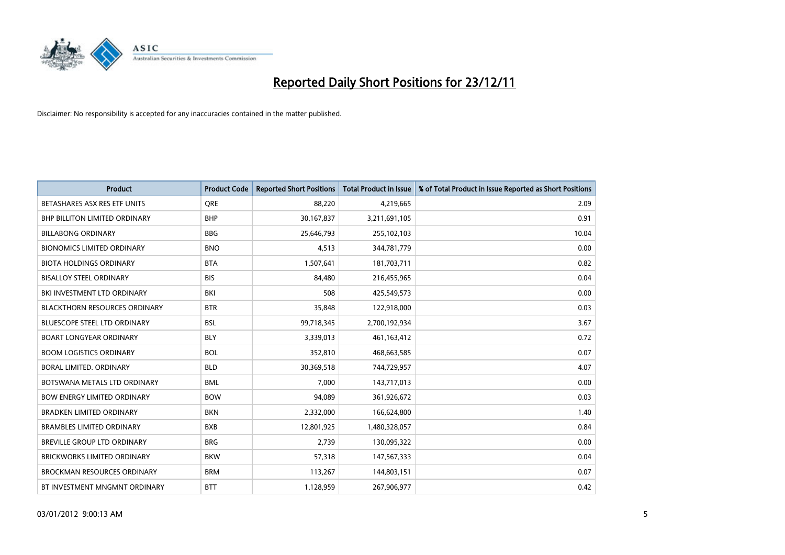

| <b>Product</b>                       | <b>Product Code</b> | <b>Reported Short Positions</b> | <b>Total Product in Issue</b> | % of Total Product in Issue Reported as Short Positions |
|--------------------------------------|---------------------|---------------------------------|-------------------------------|---------------------------------------------------------|
| BETASHARES ASX RES ETF UNITS         | <b>ORE</b>          | 88,220                          | 4,219,665                     | 2.09                                                    |
| <b>BHP BILLITON LIMITED ORDINARY</b> | <b>BHP</b>          | 30,167,837                      | 3,211,691,105                 | 0.91                                                    |
| <b>BILLABONG ORDINARY</b>            | <b>BBG</b>          | 25,646,793                      | 255,102,103                   | 10.04                                                   |
| <b>BIONOMICS LIMITED ORDINARY</b>    | <b>BNO</b>          | 4,513                           | 344,781,779                   | 0.00                                                    |
| <b>BIOTA HOLDINGS ORDINARY</b>       | <b>BTA</b>          | 1,507,641                       | 181,703,711                   | 0.82                                                    |
| <b>BISALLOY STEEL ORDINARY</b>       | <b>BIS</b>          | 84,480                          | 216,455,965                   | 0.04                                                    |
| BKI INVESTMENT LTD ORDINARY          | BKI                 | 508                             | 425,549,573                   | 0.00                                                    |
| <b>BLACKTHORN RESOURCES ORDINARY</b> | <b>BTR</b>          | 35,848                          | 122,918,000                   | 0.03                                                    |
| BLUESCOPE STEEL LTD ORDINARY         | <b>BSL</b>          | 99,718,345                      | 2,700,192,934                 | 3.67                                                    |
| <b>BOART LONGYEAR ORDINARY</b>       | <b>BLY</b>          | 3,339,013                       | 461,163,412                   | 0.72                                                    |
| <b>BOOM LOGISTICS ORDINARY</b>       | <b>BOL</b>          | 352,810                         | 468,663,585                   | 0.07                                                    |
| BORAL LIMITED, ORDINARY              | <b>BLD</b>          | 30,369,518                      | 744,729,957                   | 4.07                                                    |
| BOTSWANA METALS LTD ORDINARY         | <b>BML</b>          | 7,000                           | 143,717,013                   | 0.00                                                    |
| <b>BOW ENERGY LIMITED ORDINARY</b>   | <b>BOW</b>          | 94,089                          | 361,926,672                   | 0.03                                                    |
| <b>BRADKEN LIMITED ORDINARY</b>      | <b>BKN</b>          | 2,332,000                       | 166,624,800                   | 1.40                                                    |
| <b>BRAMBLES LIMITED ORDINARY</b>     | <b>BXB</b>          | 12,801,925                      | 1,480,328,057                 | 0.84                                                    |
| <b>BREVILLE GROUP LTD ORDINARY</b>   | <b>BRG</b>          | 2,739                           | 130,095,322                   | 0.00                                                    |
| <b>BRICKWORKS LIMITED ORDINARY</b>   | <b>BKW</b>          | 57,318                          | 147,567,333                   | 0.04                                                    |
| <b>BROCKMAN RESOURCES ORDINARY</b>   | <b>BRM</b>          | 113,267                         | 144,803,151                   | 0.07                                                    |
| BT INVESTMENT MNGMNT ORDINARY        | <b>BTT</b>          | 1,128,959                       | 267,906,977                   | 0.42                                                    |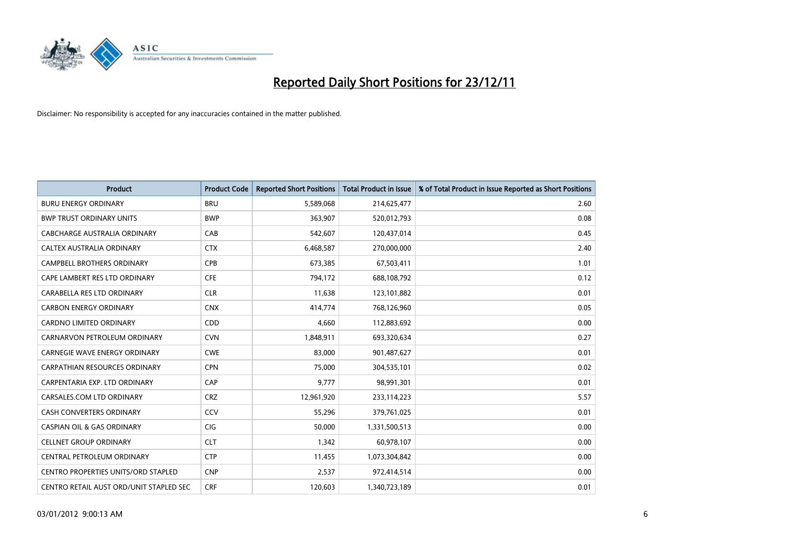

| <b>Product</b>                             | <b>Product Code</b> | <b>Reported Short Positions</b> | <b>Total Product in Issue</b> | % of Total Product in Issue Reported as Short Positions |
|--------------------------------------------|---------------------|---------------------------------|-------------------------------|---------------------------------------------------------|
| <b>BURU ENERGY ORDINARY</b>                | <b>BRU</b>          | 5,589,068                       | 214,625,477                   | 2.60                                                    |
| <b>BWP TRUST ORDINARY UNITS</b>            | <b>BWP</b>          | 363,907                         | 520,012,793                   | 0.08                                                    |
| CABCHARGE AUSTRALIA ORDINARY               | CAB                 | 542,607                         | 120,437,014                   | 0.45                                                    |
| CALTEX AUSTRALIA ORDINARY                  | <b>CTX</b>          | 6,468,587                       | 270,000,000                   | 2.40                                                    |
| <b>CAMPBELL BROTHERS ORDINARY</b>          | <b>CPB</b>          | 673,385                         | 67,503,411                    | 1.01                                                    |
| CAPE LAMBERT RES LTD ORDINARY              | <b>CFE</b>          | 794,172                         | 688,108,792                   | 0.12                                                    |
| CARABELLA RES LTD ORDINARY                 | <b>CLR</b>          | 11,638                          | 123,101,882                   | 0.01                                                    |
| <b>CARBON ENERGY ORDINARY</b>              | <b>CNX</b>          | 414,774                         | 768,126,960                   | 0.05                                                    |
| CARDNO LIMITED ORDINARY                    | CDD                 | 4,660                           | 112,883,692                   | 0.00                                                    |
| CARNARVON PETROLEUM ORDINARY               | <b>CVN</b>          | 1,848,911                       | 693,320,634                   | 0.27                                                    |
| CARNEGIE WAVE ENERGY ORDINARY              | <b>CWE</b>          | 83,000                          | 901,487,627                   | 0.01                                                    |
| <b>CARPATHIAN RESOURCES ORDINARY</b>       | <b>CPN</b>          | 75,000                          | 304,535,101                   | 0.02                                                    |
| CARPENTARIA EXP. LTD ORDINARY              | CAP                 | 9,777                           | 98,991,301                    | 0.01                                                    |
| CARSALES.COM LTD ORDINARY                  | <b>CRZ</b>          | 12,961,920                      | 233,114,223                   | 5.57                                                    |
| <b>CASH CONVERTERS ORDINARY</b>            | CCV                 | 55,296                          | 379,761,025                   | 0.01                                                    |
| <b>CASPIAN OIL &amp; GAS ORDINARY</b>      | CIG                 | 50,000                          | 1,331,500,513                 | 0.00                                                    |
| <b>CELLNET GROUP ORDINARY</b>              | <b>CLT</b>          | 1,342                           | 60,978,107                    | 0.00                                                    |
| CENTRAL PETROLEUM ORDINARY                 | <b>CTP</b>          | 11,455                          | 1,073,304,842                 | 0.00                                                    |
| <b>CENTRO PROPERTIES UNITS/ORD STAPLED</b> | <b>CNP</b>          | 2,537                           | 972,414,514                   | 0.00                                                    |
| CENTRO RETAIL AUST ORD/UNIT STAPLED SEC    | <b>CRF</b>          | 120.603                         | 1,340,723,189                 | 0.01                                                    |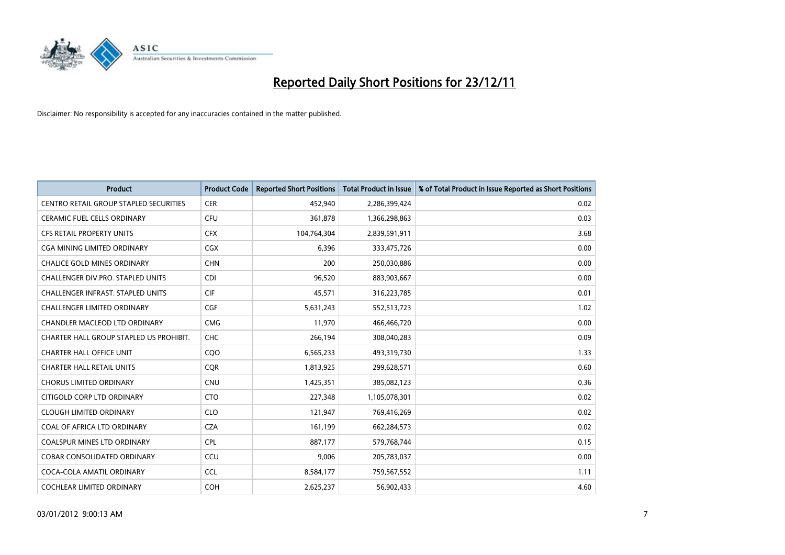

| <b>Product</b>                           | <b>Product Code</b> | <b>Reported Short Positions</b> | <b>Total Product in Issue</b> | % of Total Product in Issue Reported as Short Positions |
|------------------------------------------|---------------------|---------------------------------|-------------------------------|---------------------------------------------------------|
| CENTRO RETAIL GROUP STAPLED SECURITIES   | <b>CER</b>          | 452,940                         | 2,286,399,424                 | 0.02                                                    |
| <b>CERAMIC FUEL CELLS ORDINARY</b>       | <b>CFU</b>          | 361,878                         | 1,366,298,863                 | 0.03                                                    |
| <b>CFS RETAIL PROPERTY UNITS</b>         | <b>CFX</b>          | 104,764,304                     | 2,839,591,911                 | 3.68                                                    |
| CGA MINING LIMITED ORDINARY              | <b>CGX</b>          | 6,396                           | 333,475,726                   | 0.00                                                    |
| <b>CHALICE GOLD MINES ORDINARY</b>       | <b>CHN</b>          | 200                             | 250,030,886                   | 0.00                                                    |
| <b>CHALLENGER DIV.PRO. STAPLED UNITS</b> | <b>CDI</b>          | 96,520                          | 883,903,667                   | 0.00                                                    |
| <b>CHALLENGER INFRAST, STAPLED UNITS</b> | <b>CIF</b>          | 45,571                          | 316,223,785                   | 0.01                                                    |
| <b>CHALLENGER LIMITED ORDINARY</b>       | <b>CGF</b>          | 5,631,243                       | 552,513,723                   | 1.02                                                    |
| CHANDLER MACLEOD LTD ORDINARY            | <b>CMG</b>          | 11,970                          | 466,466,720                   | 0.00                                                    |
| CHARTER HALL GROUP STAPLED US PROHIBIT.  | CHC                 | 266,194                         | 308,040,283                   | 0.09                                                    |
| <b>CHARTER HALL OFFICE UNIT</b>          | COO                 | 6,565,233                       | 493,319,730                   | 1.33                                                    |
| <b>CHARTER HALL RETAIL UNITS</b>         | <b>CQR</b>          | 1,813,925                       | 299,628,571                   | 0.60                                                    |
| <b>CHORUS LIMITED ORDINARY</b>           | CNU                 | 1,425,351                       | 385,082,123                   | 0.36                                                    |
| CITIGOLD CORP LTD ORDINARY               | <b>CTO</b>          | 227,348                         | 1,105,078,301                 | 0.02                                                    |
| <b>CLOUGH LIMITED ORDINARY</b>           | <b>CLO</b>          | 121,947                         | 769,416,269                   | 0.02                                                    |
| COAL OF AFRICA LTD ORDINARY              | <b>CZA</b>          | 161,199                         | 662,284,573                   | 0.02                                                    |
| <b>COALSPUR MINES LTD ORDINARY</b>       | <b>CPL</b>          | 887,177                         | 579,768,744                   | 0.15                                                    |
| COBAR CONSOLIDATED ORDINARY              | CCU                 | 9,006                           | 205,783,037                   | 0.00                                                    |
| COCA-COLA AMATIL ORDINARY                | <b>CCL</b>          | 8,584,177                       | 759,567,552                   | 1.11                                                    |
| <b>COCHLEAR LIMITED ORDINARY</b>         | <b>COH</b>          | 2,625,237                       | 56,902,433                    | 4.60                                                    |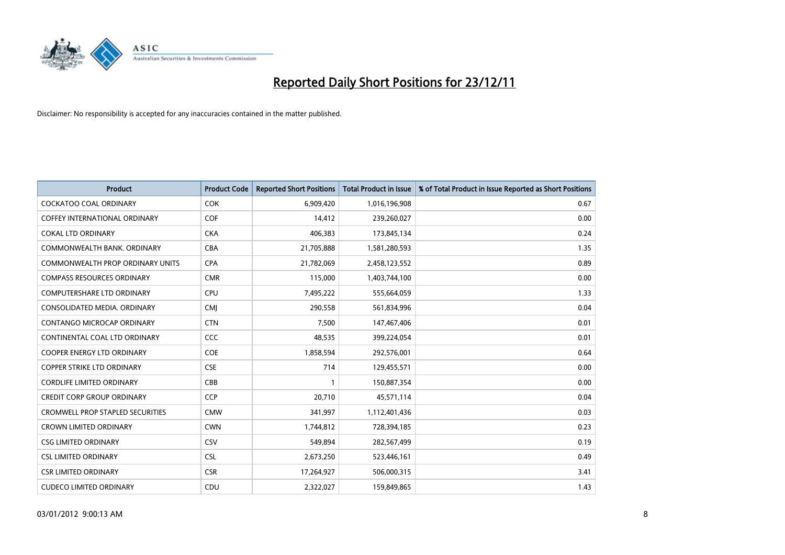

| <b>Product</b>                          | <b>Product Code</b> | <b>Reported Short Positions</b> | <b>Total Product in Issue</b> | % of Total Product in Issue Reported as Short Positions |
|-----------------------------------------|---------------------|---------------------------------|-------------------------------|---------------------------------------------------------|
| <b>COCKATOO COAL ORDINARY</b>           | <b>COK</b>          | 6,909,420                       | 1,016,196,908                 | 0.67                                                    |
| <b>COFFEY INTERNATIONAL ORDINARY</b>    | <b>COF</b>          | 14,412                          | 239,260,027                   | 0.00                                                    |
| COKAL LTD ORDINARY                      | <b>CKA</b>          | 406,383                         | 173,845,134                   | 0.24                                                    |
| COMMONWEALTH BANK, ORDINARY             | <b>CBA</b>          | 21,705,888                      | 1,581,280,593                 | 1.35                                                    |
| <b>COMMONWEALTH PROP ORDINARY UNITS</b> | <b>CPA</b>          | 21,782,069                      | 2,458,123,552                 | 0.89                                                    |
| <b>COMPASS RESOURCES ORDINARY</b>       | <b>CMR</b>          | 115,000                         | 1,403,744,100                 | 0.00                                                    |
| <b>COMPUTERSHARE LTD ORDINARY</b>       | CPU                 | 7,495,222                       | 555,664,059                   | 1.33                                                    |
| CONSOLIDATED MEDIA. ORDINARY            | <b>CMI</b>          | 290,558                         | 561,834,996                   | 0.04                                                    |
| CONTANGO MICROCAP ORDINARY              | <b>CTN</b>          | 7,500                           | 147,467,406                   | 0.01                                                    |
| CONTINENTAL COAL LTD ORDINARY           | <b>CCC</b>          | 48,535                          | 399,224,054                   | 0.01                                                    |
| COOPER ENERGY LTD ORDINARY              | <b>COE</b>          | 1,858,594                       | 292,576,001                   | 0.64                                                    |
| <b>COPPER STRIKE LTD ORDINARY</b>       | <b>CSE</b>          | 714                             | 129,455,571                   | 0.00                                                    |
| CORDLIFE LIMITED ORDINARY               | CBB                 |                                 | 150,887,354                   | 0.00                                                    |
| <b>CREDIT CORP GROUP ORDINARY</b>       | <b>CCP</b>          | 20,710                          | 45,571,114                    | 0.04                                                    |
| <b>CROMWELL PROP STAPLED SECURITIES</b> | <b>CMW</b>          | 341,997                         | 1,112,401,436                 | 0.03                                                    |
| <b>CROWN LIMITED ORDINARY</b>           | <b>CWN</b>          | 1,744,812                       | 728,394,185                   | 0.23                                                    |
| <b>CSG LIMITED ORDINARY</b>             | CSV                 | 549,894                         | 282,567,499                   | 0.19                                                    |
| <b>CSL LIMITED ORDINARY</b>             | <b>CSL</b>          | 2,673,250                       | 523,446,161                   | 0.49                                                    |
| <b>CSR LIMITED ORDINARY</b>             | <b>CSR</b>          | 17,264,927                      | 506,000,315                   | 3.41                                                    |
| <b>CUDECO LIMITED ORDINARY</b>          | CDU                 | 2.322.027                       | 159,849,865                   | 1.43                                                    |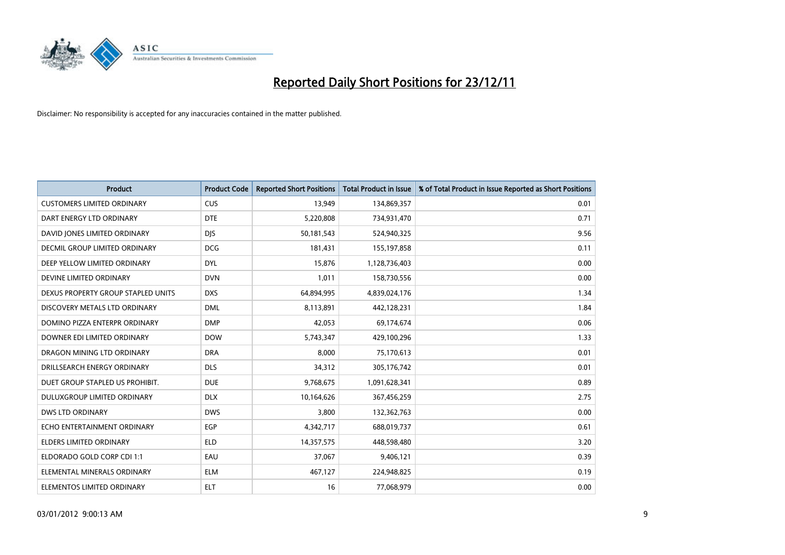

| <b>Product</b>                     | <b>Product Code</b> | <b>Reported Short Positions</b> | <b>Total Product in Issue</b> | % of Total Product in Issue Reported as Short Positions |
|------------------------------------|---------------------|---------------------------------|-------------------------------|---------------------------------------------------------|
| <b>CUSTOMERS LIMITED ORDINARY</b>  | <b>CUS</b>          | 13,949                          | 134,869,357                   | 0.01                                                    |
| DART ENERGY LTD ORDINARY           | <b>DTE</b>          | 5,220,808                       | 734,931,470                   | 0.71                                                    |
| DAVID JONES LIMITED ORDINARY       | <b>DJS</b>          | 50,181,543                      | 524,940,325                   | 9.56                                                    |
| DECMIL GROUP LIMITED ORDINARY      | <b>DCG</b>          | 181,431                         | 155,197,858                   | 0.11                                                    |
| DEEP YELLOW LIMITED ORDINARY       | <b>DYL</b>          | 15,876                          | 1,128,736,403                 | 0.00                                                    |
| DEVINE LIMITED ORDINARY            | <b>DVN</b>          | 1,011                           | 158,730,556                   | 0.00                                                    |
| DEXUS PROPERTY GROUP STAPLED UNITS | <b>DXS</b>          | 64,894,995                      | 4,839,024,176                 | 1.34                                                    |
| DISCOVERY METALS LTD ORDINARY      | <b>DML</b>          | 8,113,891                       | 442,128,231                   | 1.84                                                    |
| DOMINO PIZZA ENTERPR ORDINARY      | <b>DMP</b>          | 42,053                          | 69,174,674                    | 0.06                                                    |
| DOWNER EDI LIMITED ORDINARY        | <b>DOW</b>          | 5,743,347                       | 429,100,296                   | 1.33                                                    |
| DRAGON MINING LTD ORDINARY         | <b>DRA</b>          | 8,000                           | 75,170,613                    | 0.01                                                    |
| DRILLSEARCH ENERGY ORDINARY        | <b>DLS</b>          | 34,312                          | 305,176,742                   | 0.01                                                    |
| DUET GROUP STAPLED US PROHIBIT.    | <b>DUE</b>          | 9,768,675                       | 1,091,628,341                 | 0.89                                                    |
| DULUXGROUP LIMITED ORDINARY        | <b>DLX</b>          | 10,164,626                      | 367,456,259                   | 2.75                                                    |
| <b>DWS LTD ORDINARY</b>            | <b>DWS</b>          | 3,800                           | 132,362,763                   | 0.00                                                    |
| ECHO ENTERTAINMENT ORDINARY        | <b>EGP</b>          | 4,342,717                       | 688,019,737                   | 0.61                                                    |
| <b>ELDERS LIMITED ORDINARY</b>     | <b>ELD</b>          | 14,357,575                      | 448,598,480                   | 3.20                                                    |
| ELDORADO GOLD CORP CDI 1:1         | EAU                 | 37,067                          | 9,406,121                     | 0.39                                                    |
| ELEMENTAL MINERALS ORDINARY        | <b>ELM</b>          | 467,127                         | 224,948,825                   | 0.19                                                    |
| ELEMENTOS LIMITED ORDINARY         | <b>ELT</b>          | 16                              | 77,068,979                    | 0.00                                                    |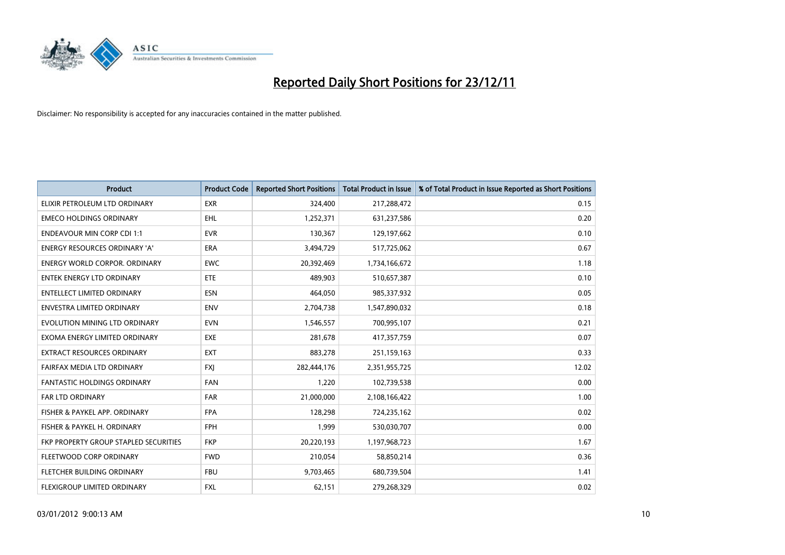

| <b>Product</b>                        | <b>Product Code</b> | <b>Reported Short Positions</b> | <b>Total Product in Issue</b> | % of Total Product in Issue Reported as Short Positions |
|---------------------------------------|---------------------|---------------------------------|-------------------------------|---------------------------------------------------------|
| ELIXIR PETROLEUM LTD ORDINARY         | <b>EXR</b>          | 324,400                         | 217,288,472                   | 0.15                                                    |
| <b>EMECO HOLDINGS ORDINARY</b>        | <b>EHL</b>          | 1,252,371                       | 631,237,586                   | 0.20                                                    |
| <b>ENDEAVOUR MIN CORP CDI 1:1</b>     | <b>EVR</b>          | 130,367                         | 129,197,662                   | 0.10                                                    |
| ENERGY RESOURCES ORDINARY 'A'         | <b>ERA</b>          | 3,494,729                       | 517,725,062                   | 0.67                                                    |
| <b>ENERGY WORLD CORPOR, ORDINARY</b>  | <b>EWC</b>          | 20,392,469                      | 1,734,166,672                 | 1.18                                                    |
| <b>ENTEK ENERGY LTD ORDINARY</b>      | <b>ETE</b>          | 489,903                         | 510,657,387                   | 0.10                                                    |
| <b>ENTELLECT LIMITED ORDINARY</b>     | <b>ESN</b>          | 464,050                         | 985,337,932                   | 0.05                                                    |
| ENVESTRA LIMITED ORDINARY             | <b>ENV</b>          | 2,704,738                       | 1,547,890,032                 | 0.18                                                    |
| EVOLUTION MINING LTD ORDINARY         | <b>EVN</b>          | 1,546,557                       | 700,995,107                   | 0.21                                                    |
| EXOMA ENERGY LIMITED ORDINARY         | <b>EXE</b>          | 281,678                         | 417,357,759                   | 0.07                                                    |
| EXTRACT RESOURCES ORDINARY            | <b>EXT</b>          | 883,278                         | 251,159,163                   | 0.33                                                    |
| FAIRFAX MEDIA LTD ORDINARY            | <b>FXI</b>          | 282,444,176                     | 2,351,955,725                 | 12.02                                                   |
| FANTASTIC HOLDINGS ORDINARY           | <b>FAN</b>          | 1,220                           | 102,739,538                   | 0.00                                                    |
| <b>FAR LTD ORDINARY</b>               | <b>FAR</b>          | 21,000,000                      | 2,108,166,422                 | 1.00                                                    |
| FISHER & PAYKEL APP. ORDINARY         | <b>FPA</b>          | 128,298                         | 724,235,162                   | 0.02                                                    |
| FISHER & PAYKEL H. ORDINARY           | <b>FPH</b>          | 1,999                           | 530,030,707                   | 0.00                                                    |
| FKP PROPERTY GROUP STAPLED SECURITIES | <b>FKP</b>          | 20,220,193                      | 1,197,968,723                 | 1.67                                                    |
| FLEETWOOD CORP ORDINARY               | <b>FWD</b>          | 210,054                         | 58,850,214                    | 0.36                                                    |
| FLETCHER BUILDING ORDINARY            | <b>FBU</b>          | 9,703,465                       | 680,739,504                   | 1.41                                                    |
| FLEXIGROUP LIMITED ORDINARY           | <b>FXL</b>          | 62,151                          | 279,268,329                   | 0.02                                                    |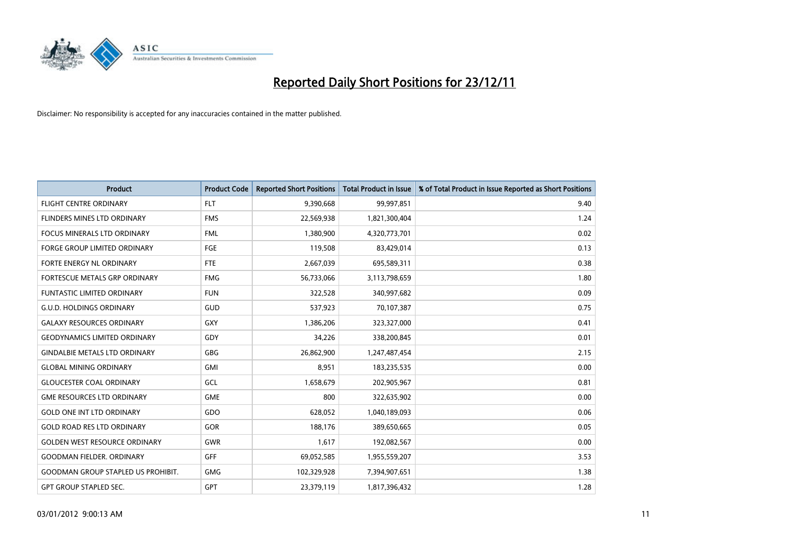

| <b>Product</b>                            | <b>Product Code</b> | <b>Reported Short Positions</b> | <b>Total Product in Issue</b> | % of Total Product in Issue Reported as Short Positions |
|-------------------------------------------|---------------------|---------------------------------|-------------------------------|---------------------------------------------------------|
| <b>FLIGHT CENTRE ORDINARY</b>             | <b>FLT</b>          | 9,390,668                       | 99,997,851                    | 9.40                                                    |
| <b>FLINDERS MINES LTD ORDINARY</b>        | <b>FMS</b>          | 22,569,938                      | 1,821,300,404                 | 1.24                                                    |
| <b>FOCUS MINERALS LTD ORDINARY</b>        | <b>FML</b>          | 1,380,900                       | 4,320,773,701                 | 0.02                                                    |
| FORGE GROUP LIMITED ORDINARY              | FGE                 | 119,508                         | 83,429,014                    | 0.13                                                    |
| FORTE ENERGY NL ORDINARY                  | <b>FTE</b>          | 2,667,039                       | 695,589,311                   | 0.38                                                    |
| <b>FORTESCUE METALS GRP ORDINARY</b>      | <b>FMG</b>          | 56,733,066                      | 3,113,798,659                 | 1.80                                                    |
| <b>FUNTASTIC LIMITED ORDINARY</b>         | <b>FUN</b>          | 322,528                         | 340,997,682                   | 0.09                                                    |
| <b>G.U.D. HOLDINGS ORDINARY</b>           | GUD                 | 537,923                         | 70,107,387                    | 0.75                                                    |
| <b>GALAXY RESOURCES ORDINARY</b>          | <b>GXY</b>          | 1,386,206                       | 323,327,000                   | 0.41                                                    |
| <b>GEODYNAMICS LIMITED ORDINARY</b>       | GDY                 | 34,226                          | 338,200,845                   | 0.01                                                    |
| <b>GINDALBIE METALS LTD ORDINARY</b>      | <b>GBG</b>          | 26,862,900                      | 1,247,487,454                 | 2.15                                                    |
| <b>GLOBAL MINING ORDINARY</b>             | <b>GMI</b>          | 8,951                           | 183,235,535                   | 0.00                                                    |
| <b>GLOUCESTER COAL ORDINARY</b>           | GCL                 | 1,658,679                       | 202,905,967                   | 0.81                                                    |
| <b>GME RESOURCES LTD ORDINARY</b>         | <b>GME</b>          | 800                             | 322,635,902                   | 0.00                                                    |
| <b>GOLD ONE INT LTD ORDINARY</b>          | GDO                 | 628,052                         | 1,040,189,093                 | 0.06                                                    |
| <b>GOLD ROAD RES LTD ORDINARY</b>         | <b>GOR</b>          | 188,176                         | 389,650,665                   | 0.05                                                    |
| <b>GOLDEN WEST RESOURCE ORDINARY</b>      | <b>GWR</b>          | 1,617                           | 192,082,567                   | 0.00                                                    |
| <b>GOODMAN FIELDER. ORDINARY</b>          | <b>GFF</b>          | 69,052,585                      | 1,955,559,207                 | 3.53                                                    |
| <b>GOODMAN GROUP STAPLED US PROHIBIT.</b> | <b>GMG</b>          | 102,329,928                     | 7,394,907,651                 | 1.38                                                    |
| <b>GPT GROUP STAPLED SEC.</b>             | <b>GPT</b>          | 23,379,119                      | 1,817,396,432                 | 1.28                                                    |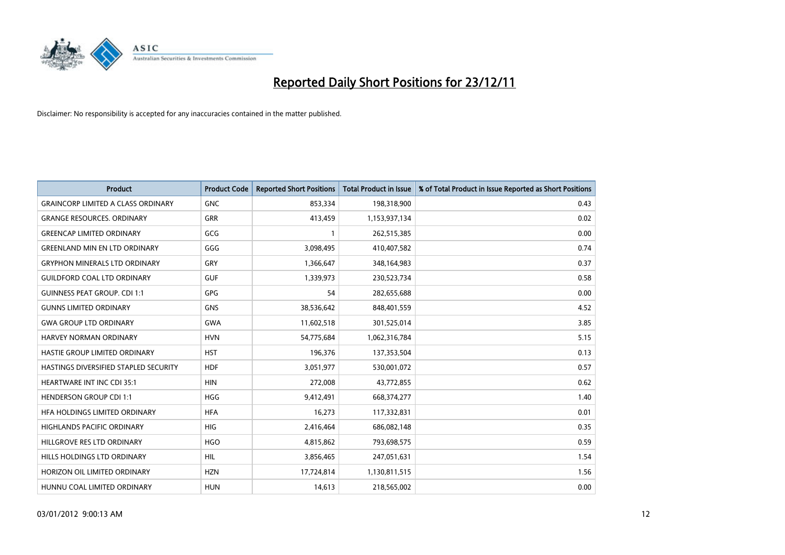

| <b>Product</b>                            | <b>Product Code</b> | <b>Reported Short Positions</b> | <b>Total Product in Issue</b> | % of Total Product in Issue Reported as Short Positions |
|-------------------------------------------|---------------------|---------------------------------|-------------------------------|---------------------------------------------------------|
| <b>GRAINCORP LIMITED A CLASS ORDINARY</b> | <b>GNC</b>          | 853,334                         | 198,318,900                   | 0.43                                                    |
| <b>GRANGE RESOURCES. ORDINARY</b>         | <b>GRR</b>          | 413,459                         | 1,153,937,134                 | 0.02                                                    |
| <b>GREENCAP LIMITED ORDINARY</b>          | GCG                 |                                 | 262,515,385                   | 0.00                                                    |
| <b>GREENLAND MIN EN LTD ORDINARY</b>      | GGG                 | 3,098,495                       | 410,407,582                   | 0.74                                                    |
| <b>GRYPHON MINERALS LTD ORDINARY</b>      | GRY                 | 1,366,647                       | 348,164,983                   | 0.37                                                    |
| <b>GUILDFORD COAL LTD ORDINARY</b>        | <b>GUF</b>          | 1,339,973                       | 230,523,734                   | 0.58                                                    |
| <b>GUINNESS PEAT GROUP. CDI 1:1</b>       | <b>GPG</b>          | 54                              | 282,655,688                   | 0.00                                                    |
| <b>GUNNS LIMITED ORDINARY</b>             | <b>GNS</b>          | 38,536,642                      | 848,401,559                   | 4.52                                                    |
| <b>GWA GROUP LTD ORDINARY</b>             | <b>GWA</b>          | 11,602,518                      | 301,525,014                   | 3.85                                                    |
| <b>HARVEY NORMAN ORDINARY</b>             | <b>HVN</b>          | 54,775,684                      | 1,062,316,784                 | 5.15                                                    |
| HASTIE GROUP LIMITED ORDINARY             | <b>HST</b>          | 196,376                         | 137,353,504                   | 0.13                                                    |
| HASTINGS DIVERSIFIED STAPLED SECURITY     | <b>HDF</b>          | 3,051,977                       | 530,001,072                   | 0.57                                                    |
| HEARTWARE INT INC CDI 35:1                | <b>HIN</b>          | 272,008                         | 43,772,855                    | 0.62                                                    |
| <b>HENDERSON GROUP CDI 1:1</b>            | <b>HGG</b>          | 9,412,491                       | 668,374,277                   | 1.40                                                    |
| HFA HOLDINGS LIMITED ORDINARY             | <b>HFA</b>          | 16,273                          | 117,332,831                   | 0.01                                                    |
| HIGHLANDS PACIFIC ORDINARY                | <b>HIG</b>          | 2,416,464                       | 686,082,148                   | 0.35                                                    |
| HILLGROVE RES LTD ORDINARY                | <b>HGO</b>          | 4,815,862                       | 793,698,575                   | 0.59                                                    |
| HILLS HOLDINGS LTD ORDINARY               | <b>HIL</b>          | 3,856,465                       | 247,051,631                   | 1.54                                                    |
| HORIZON OIL LIMITED ORDINARY              | <b>HZN</b>          | 17,724,814                      | 1,130,811,515                 | 1.56                                                    |
| HUNNU COAL LIMITED ORDINARY               | <b>HUN</b>          | 14,613                          | 218,565,002                   | 0.00                                                    |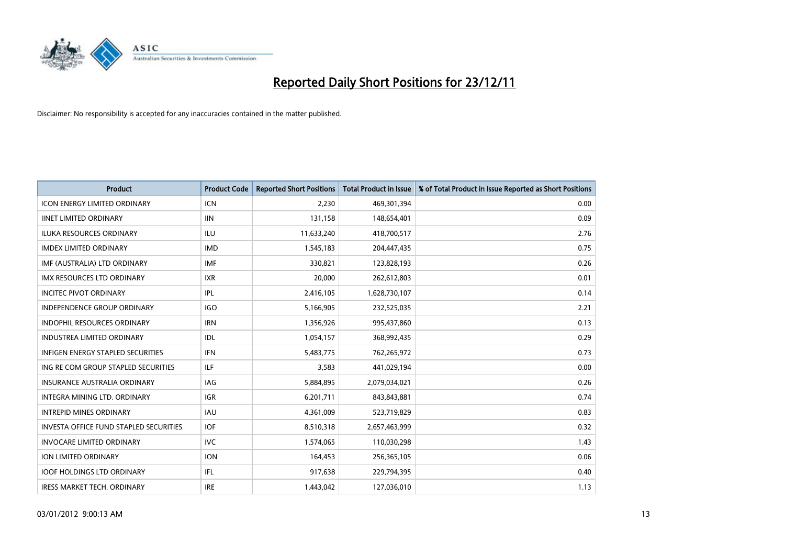

| <b>Product</b>                                | <b>Product Code</b> | <b>Reported Short Positions</b> | <b>Total Product in Issue</b> | % of Total Product in Issue Reported as Short Positions |
|-----------------------------------------------|---------------------|---------------------------------|-------------------------------|---------------------------------------------------------|
| <b>ICON ENERGY LIMITED ORDINARY</b>           | <b>ICN</b>          | 2,230                           | 469,301,394                   | 0.00                                                    |
| <b>IINET LIMITED ORDINARY</b>                 | <b>IIN</b>          | 131,158                         | 148,654,401                   | 0.09                                                    |
| <b>ILUKA RESOURCES ORDINARY</b>               | ILU                 | 11,633,240                      | 418,700,517                   | 2.76                                                    |
| <b>IMDEX LIMITED ORDINARY</b>                 | <b>IMD</b>          | 1,545,183                       | 204,447,435                   | 0.75                                                    |
| IMF (AUSTRALIA) LTD ORDINARY                  | <b>IMF</b>          | 330.821                         | 123,828,193                   | 0.26                                                    |
| <b>IMX RESOURCES LTD ORDINARY</b>             | <b>IXR</b>          | 20,000                          | 262,612,803                   | 0.01                                                    |
| <b>INCITEC PIVOT ORDINARY</b>                 | IPL                 | 2,416,105                       | 1,628,730,107                 | 0.14                                                    |
| <b>INDEPENDENCE GROUP ORDINARY</b>            | <b>IGO</b>          | 5,166,905                       | 232,525,035                   | 2.21                                                    |
| INDOPHIL RESOURCES ORDINARY                   | <b>IRN</b>          | 1,356,926                       | 995,437,860                   | 0.13                                                    |
| <b>INDUSTREA LIMITED ORDINARY</b>             | IDL                 | 1,054,157                       | 368,992,435                   | 0.29                                                    |
| <b>INFIGEN ENERGY STAPLED SECURITIES</b>      | <b>IFN</b>          | 5,483,775                       | 762,265,972                   | 0.73                                                    |
| ING RE COM GROUP STAPLED SECURITIES           | ILF.                | 3,583                           | 441,029,194                   | 0.00                                                    |
| <b>INSURANCE AUSTRALIA ORDINARY</b>           | IAG                 | 5,884,895                       | 2,079,034,021                 | 0.26                                                    |
| <b>INTEGRA MINING LTD, ORDINARY</b>           | <b>IGR</b>          | 6,201,711                       | 843,843,881                   | 0.74                                                    |
| <b>INTREPID MINES ORDINARY</b>                | <b>IAU</b>          | 4,361,009                       | 523,719,829                   | 0.83                                                    |
| <b>INVESTA OFFICE FUND STAPLED SECURITIES</b> | <b>IOF</b>          | 8,510,318                       | 2,657,463,999                 | 0.32                                                    |
| <b>INVOCARE LIMITED ORDINARY</b>              | <b>IVC</b>          | 1,574,065                       | 110,030,298                   | 1.43                                                    |
| ION LIMITED ORDINARY                          | <b>ION</b>          | 164,453                         | 256,365,105                   | 0.06                                                    |
| <b>IOOF HOLDINGS LTD ORDINARY</b>             | IFL.                | 917,638                         | 229,794,395                   | 0.40                                                    |
| <b>IRESS MARKET TECH. ORDINARY</b>            | <b>IRE</b>          | 1,443,042                       | 127,036,010                   | 1.13                                                    |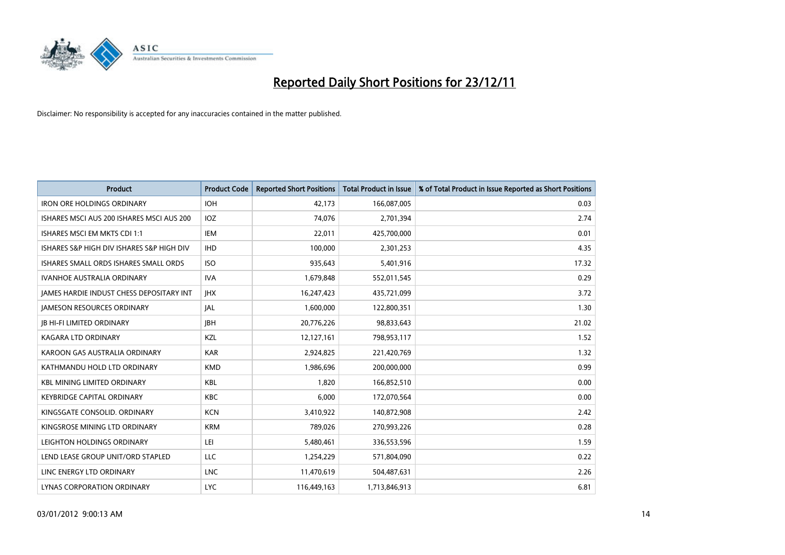

| <b>Product</b>                                  | <b>Product Code</b> | <b>Reported Short Positions</b> | <b>Total Product in Issue</b> | % of Total Product in Issue Reported as Short Positions |
|-------------------------------------------------|---------------------|---------------------------------|-------------------------------|---------------------------------------------------------|
| <b>IRON ORE HOLDINGS ORDINARY</b>               | <b>IOH</b>          | 42,173                          | 166,087,005                   | 0.03                                                    |
| ISHARES MSCI AUS 200 ISHARES MSCI AUS 200       | <b>IOZ</b>          | 74,076                          | 2,701,394                     | 2.74                                                    |
| ISHARES MSCI EM MKTS CDI 1:1                    | IEM                 | 22,011                          | 425,700,000                   | 0.01                                                    |
| ISHARES S&P HIGH DIV ISHARES S&P HIGH DIV       | <b>IHD</b>          | 100,000                         | 2,301,253                     | 4.35                                                    |
| ISHARES SMALL ORDS ISHARES SMALL ORDS           | <b>ISO</b>          | 935,643                         | 5,401,916                     | 17.32                                                   |
| <b>IVANHOE AUSTRALIA ORDINARY</b>               | <b>IVA</b>          | 1,679,848                       | 552,011,545                   | 0.29                                                    |
| <b>JAMES HARDIE INDUST CHESS DEPOSITARY INT</b> | <b>IHX</b>          | 16,247,423                      | 435,721,099                   | 3.72                                                    |
| <b>JAMESON RESOURCES ORDINARY</b>               | <b>JAL</b>          | 1,600,000                       | 122,800,351                   | 1.30                                                    |
| <b>JB HI-FI LIMITED ORDINARY</b>                | <b>IBH</b>          | 20,776,226                      | 98,833,643                    | 21.02                                                   |
| <b>KAGARA LTD ORDINARY</b>                      | <b>KZL</b>          | 12,127,161                      | 798,953,117                   | 1.52                                                    |
| KAROON GAS AUSTRALIA ORDINARY                   | <b>KAR</b>          | 2,924,825                       | 221,420,769                   | 1.32                                                    |
| KATHMANDU HOLD LTD ORDINARY                     | <b>KMD</b>          | 1,986,696                       | 200,000,000                   | 0.99                                                    |
| <b>KBL MINING LIMITED ORDINARY</b>              | <b>KBL</b>          | 1,820                           | 166,852,510                   | 0.00                                                    |
| <b>KEYBRIDGE CAPITAL ORDINARY</b>               | <b>KBC</b>          | 6,000                           | 172,070,564                   | 0.00                                                    |
| KINGSGATE CONSOLID. ORDINARY                    | <b>KCN</b>          | 3,410,922                       | 140,872,908                   | 2.42                                                    |
| KINGSROSE MINING LTD ORDINARY                   | <b>KRM</b>          | 789,026                         | 270,993,226                   | 0.28                                                    |
| LEIGHTON HOLDINGS ORDINARY                      | LEI                 | 5,480,461                       | 336,553,596                   | 1.59                                                    |
| LEND LEASE GROUP UNIT/ORD STAPLED               | LLC                 | 1,254,229                       | 571,804,090                   | 0.22                                                    |
| LINC ENERGY LTD ORDINARY                        | <b>LNC</b>          | 11,470,619                      | 504,487,631                   | 2.26                                                    |
| LYNAS CORPORATION ORDINARY                      | <b>LYC</b>          | 116,449,163                     | 1,713,846,913                 | 6.81                                                    |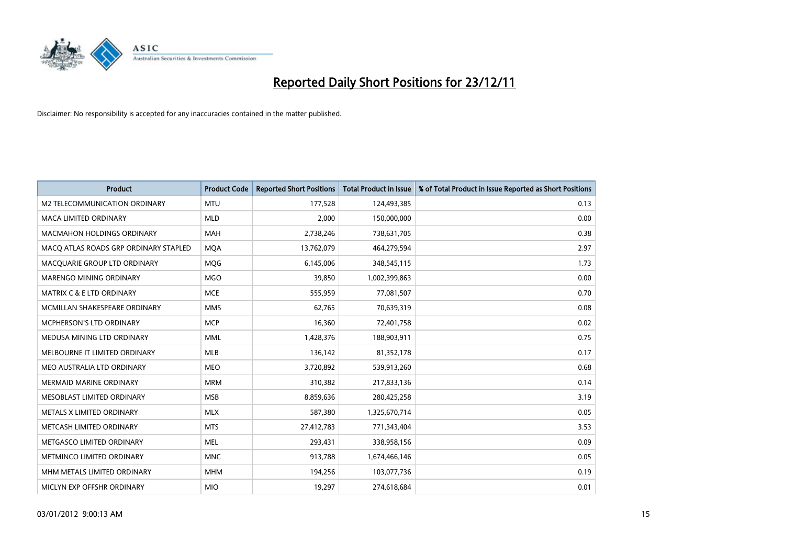

| <b>Product</b>                        | <b>Product Code</b> | <b>Reported Short Positions</b> | <b>Total Product in Issue</b> | % of Total Product in Issue Reported as Short Positions |
|---------------------------------------|---------------------|---------------------------------|-------------------------------|---------------------------------------------------------|
| M2 TELECOMMUNICATION ORDINARY         | <b>MTU</b>          | 177,528                         | 124,493,385                   | 0.13                                                    |
| MACA LIMITED ORDINARY                 | <b>MLD</b>          | 2,000                           | 150,000,000                   | 0.00                                                    |
| <b>MACMAHON HOLDINGS ORDINARY</b>     | <b>MAH</b>          | 2,738,246                       | 738,631,705                   | 0.38                                                    |
| MACQ ATLAS ROADS GRP ORDINARY STAPLED | <b>MQA</b>          | 13,762,079                      | 464,279,594                   | 2.97                                                    |
| MACQUARIE GROUP LTD ORDINARY          | <b>MOG</b>          | 6,145,006                       | 348,545,115                   | 1.73                                                    |
| MARENGO MINING ORDINARY               | <b>MGO</b>          | 39,850                          | 1,002,399,863                 | 0.00                                                    |
| <b>MATRIX C &amp; E LTD ORDINARY</b>  | <b>MCE</b>          | 555,959                         | 77,081,507                    | 0.70                                                    |
| MCMILLAN SHAKESPEARE ORDINARY         | <b>MMS</b>          | 62,765                          | 70,639,319                    | 0.08                                                    |
| MCPHERSON'S LTD ORDINARY              | <b>MCP</b>          | 16,360                          | 72,401,758                    | 0.02                                                    |
| MEDUSA MINING LTD ORDINARY            | <b>MML</b>          | 1,428,376                       | 188,903,911                   | 0.75                                                    |
| MELBOURNE IT LIMITED ORDINARY         | MLB                 | 136,142                         | 81,352,178                    | 0.17                                                    |
| MEO AUSTRALIA LTD ORDINARY            | <b>MEO</b>          | 3,720,892                       | 539,913,260                   | 0.68                                                    |
| MERMAID MARINE ORDINARY               | <b>MRM</b>          | 310,382                         | 217,833,136                   | 0.14                                                    |
| MESOBLAST LIMITED ORDINARY            | <b>MSB</b>          | 8,859,636                       | 280,425,258                   | 3.19                                                    |
| METALS X LIMITED ORDINARY             | <b>MLX</b>          | 587,380                         | 1,325,670,714                 | 0.05                                                    |
| METCASH LIMITED ORDINARY              | <b>MTS</b>          | 27,412,783                      | 771,343,404                   | 3.53                                                    |
| METGASCO LIMITED ORDINARY             | <b>MEL</b>          | 293,431                         | 338,958,156                   | 0.09                                                    |
| METMINCO LIMITED ORDINARY             | <b>MNC</b>          | 913,788                         | 1,674,466,146                 | 0.05                                                    |
| MHM METALS LIMITED ORDINARY           | <b>MHM</b>          | 194,256                         | 103,077,736                   | 0.19                                                    |
| MICLYN EXP OFFSHR ORDINARY            | <b>MIO</b>          | 19,297                          | 274,618,684                   | 0.01                                                    |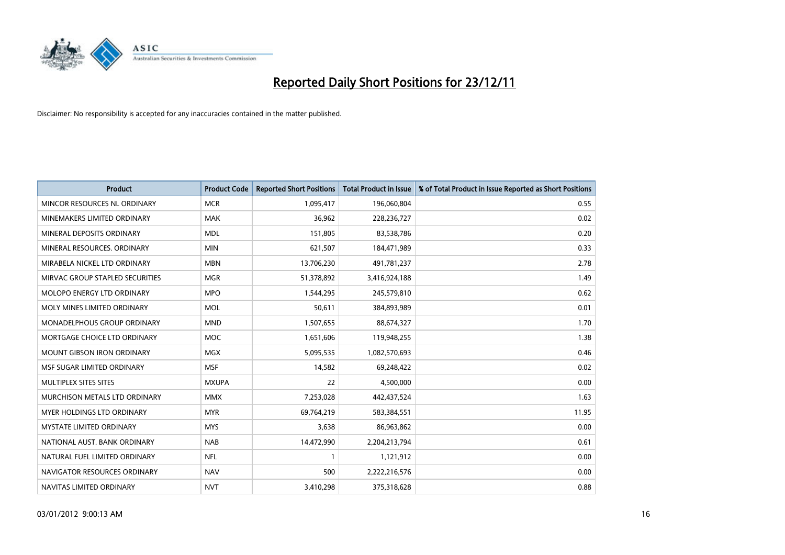

| <b>Product</b>                    | <b>Product Code</b> | <b>Reported Short Positions</b> | <b>Total Product in Issue</b> | % of Total Product in Issue Reported as Short Positions |
|-----------------------------------|---------------------|---------------------------------|-------------------------------|---------------------------------------------------------|
| MINCOR RESOURCES NL ORDINARY      | <b>MCR</b>          | 1,095,417                       | 196,060,804                   | 0.55                                                    |
| MINEMAKERS LIMITED ORDINARY       | <b>MAK</b>          | 36,962                          | 228,236,727                   | 0.02                                                    |
| MINERAL DEPOSITS ORDINARY         | <b>MDL</b>          | 151,805                         | 83,538,786                    | 0.20                                                    |
| MINERAL RESOURCES. ORDINARY       | <b>MIN</b>          | 621,507                         | 184,471,989                   | 0.33                                                    |
| MIRABELA NICKEL LTD ORDINARY      | <b>MBN</b>          | 13,706,230                      | 491,781,237                   | 2.78                                                    |
| MIRVAC GROUP STAPLED SECURITIES   | <b>MGR</b>          | 51,378,892                      | 3,416,924,188                 | 1.49                                                    |
| <b>MOLOPO ENERGY LTD ORDINARY</b> | <b>MPO</b>          | 1,544,295                       | 245,579,810                   | 0.62                                                    |
| MOLY MINES LIMITED ORDINARY       | <b>MOL</b>          | 50,611                          | 384,893,989                   | 0.01                                                    |
| MONADELPHOUS GROUP ORDINARY       | <b>MND</b>          | 1,507,655                       | 88,674,327                    | 1.70                                                    |
| MORTGAGE CHOICE LTD ORDINARY      | <b>MOC</b>          | 1,651,606                       | 119,948,255                   | 1.38                                                    |
| <b>MOUNT GIBSON IRON ORDINARY</b> | <b>MGX</b>          | 5,095,535                       | 1,082,570,693                 | 0.46                                                    |
| MSF SUGAR LIMITED ORDINARY        | <b>MSF</b>          | 14,582                          | 69,248,422                    | 0.02                                                    |
| MULTIPLEX SITES SITES             | <b>MXUPA</b>        | 22                              | 4,500,000                     | 0.00                                                    |
| MURCHISON METALS LTD ORDINARY     | <b>MMX</b>          | 7,253,028                       | 442,437,524                   | 1.63                                                    |
| <b>MYER HOLDINGS LTD ORDINARY</b> | <b>MYR</b>          | 69,764,219                      | 583,384,551                   | 11.95                                                   |
| <b>MYSTATE LIMITED ORDINARY</b>   | <b>MYS</b>          | 3,638                           | 86,963,862                    | 0.00                                                    |
| NATIONAL AUST. BANK ORDINARY      | <b>NAB</b>          | 14,472,990                      | 2,204,213,794                 | 0.61                                                    |
| NATURAL FUEL LIMITED ORDINARY     | <b>NFL</b>          |                                 | 1,121,912                     | 0.00                                                    |
| NAVIGATOR RESOURCES ORDINARY      | <b>NAV</b>          | 500                             | 2,222,216,576                 | 0.00                                                    |
| NAVITAS LIMITED ORDINARY          | <b>NVT</b>          | 3,410,298                       | 375,318,628                   | 0.88                                                    |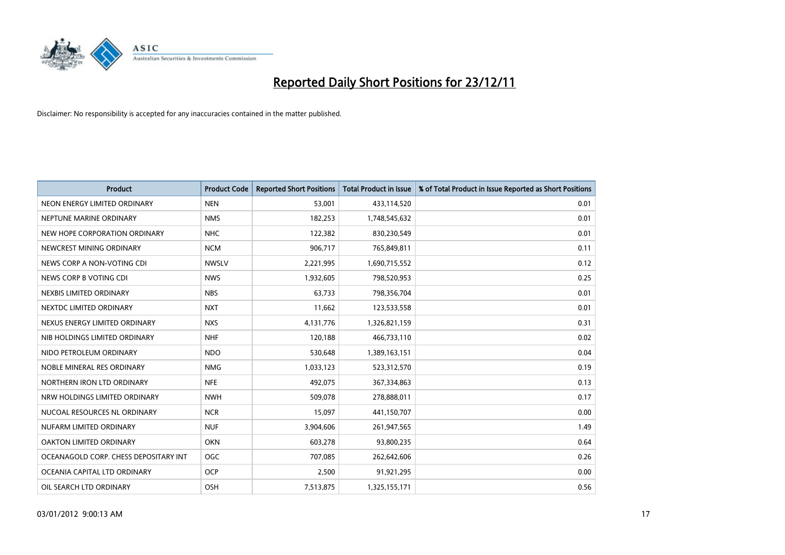

| <b>Product</b>                        | <b>Product Code</b> | <b>Reported Short Positions</b> | <b>Total Product in Issue</b> | % of Total Product in Issue Reported as Short Positions |
|---------------------------------------|---------------------|---------------------------------|-------------------------------|---------------------------------------------------------|
| NEON ENERGY LIMITED ORDINARY          | <b>NEN</b>          | 53,001                          | 433,114,520                   | 0.01                                                    |
| NEPTUNE MARINE ORDINARY               | <b>NMS</b>          | 182,253                         | 1,748,545,632                 | 0.01                                                    |
| NEW HOPE CORPORATION ORDINARY         | <b>NHC</b>          | 122,382                         | 830,230,549                   | 0.01                                                    |
| NEWCREST MINING ORDINARY              | <b>NCM</b>          | 906,717                         | 765,849,811                   | 0.11                                                    |
| NEWS CORP A NON-VOTING CDI            | <b>NWSLV</b>        | 2,221,995                       | 1,690,715,552                 | 0.12                                                    |
| NEWS CORP B VOTING CDI                | <b>NWS</b>          | 1,932,605                       | 798,520,953                   | 0.25                                                    |
| NEXBIS LIMITED ORDINARY               | <b>NBS</b>          | 63.733                          | 798,356,704                   | 0.01                                                    |
| NEXTDC LIMITED ORDINARY               | <b>NXT</b>          | 11,662                          | 123,533,558                   | 0.01                                                    |
| NEXUS ENERGY LIMITED ORDINARY         | <b>NXS</b>          | 4,131,776                       | 1,326,821,159                 | 0.31                                                    |
| NIB HOLDINGS LIMITED ORDINARY         | <b>NHF</b>          | 120,188                         | 466,733,110                   | 0.02                                                    |
| NIDO PETROLEUM ORDINARY               | <b>NDO</b>          | 530,648                         | 1,389,163,151                 | 0.04                                                    |
| NOBLE MINERAL RES ORDINARY            | <b>NMG</b>          | 1,033,123                       | 523,312,570                   | 0.19                                                    |
| NORTHERN IRON LTD ORDINARY            | <b>NFE</b>          | 492,075                         | 367,334,863                   | 0.13                                                    |
| NRW HOLDINGS LIMITED ORDINARY         | <b>NWH</b>          | 509,078                         | 278,888,011                   | 0.17                                                    |
| NUCOAL RESOURCES NL ORDINARY          | <b>NCR</b>          | 15,097                          | 441,150,707                   | 0.00                                                    |
| NUFARM LIMITED ORDINARY               | <b>NUF</b>          | 3,904,606                       | 261,947,565                   | 1.49                                                    |
| OAKTON LIMITED ORDINARY               | <b>OKN</b>          | 603,278                         | 93,800,235                    | 0.64                                                    |
| OCEANAGOLD CORP. CHESS DEPOSITARY INT | OGC                 | 707,085                         | 262,642,606                   | 0.26                                                    |
| OCEANIA CAPITAL LTD ORDINARY          | <b>OCP</b>          | 2,500                           | 91,921,295                    | 0.00                                                    |
| OIL SEARCH LTD ORDINARY               | OSH                 | 7,513,875                       | 1,325,155,171                 | 0.56                                                    |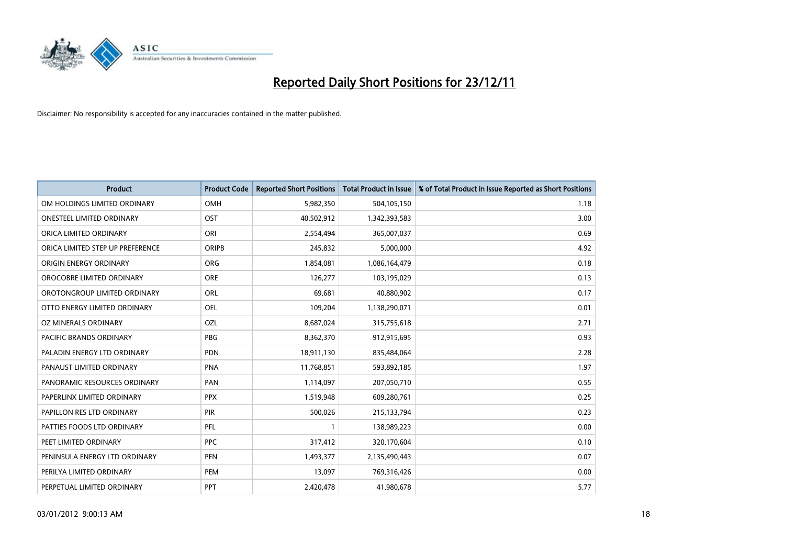

| <b>Product</b>                   | <b>Product Code</b> | <b>Reported Short Positions</b> | <b>Total Product in Issue</b> | % of Total Product in Issue Reported as Short Positions |
|----------------------------------|---------------------|---------------------------------|-------------------------------|---------------------------------------------------------|
| OM HOLDINGS LIMITED ORDINARY     | OMH                 | 5,982,350                       | 504,105,150                   | 1.18                                                    |
| ONESTEEL LIMITED ORDINARY        | <b>OST</b>          | 40,502,912                      | 1,342,393,583                 | 3.00                                                    |
| ORICA LIMITED ORDINARY           | ORI                 | 2,554,494                       | 365,007,037                   | 0.69                                                    |
| ORICA LIMITED STEP UP PREFERENCE | <b>ORIPB</b>        | 245,832                         | 5,000,000                     | 4.92                                                    |
| ORIGIN ENERGY ORDINARY           | <b>ORG</b>          | 1,854,081                       | 1,086,164,479                 | 0.18                                                    |
| OROCOBRE LIMITED ORDINARY        | <b>ORE</b>          | 126,277                         | 103,195,029                   | 0.13                                                    |
| OROTONGROUP LIMITED ORDINARY     | ORL                 | 69,681                          | 40,880,902                    | 0.17                                                    |
| OTTO ENERGY LIMITED ORDINARY     | OEL                 | 109,204                         | 1,138,290,071                 | 0.01                                                    |
| OZ MINERALS ORDINARY             | OZL                 | 8,687,024                       | 315,755,618                   | 2.71                                                    |
| <b>PACIFIC BRANDS ORDINARY</b>   | <b>PBG</b>          | 8,362,370                       | 912,915,695                   | 0.93                                                    |
| PALADIN ENERGY LTD ORDINARY      | <b>PDN</b>          | 18,911,130                      | 835,484,064                   | 2.28                                                    |
| PANAUST LIMITED ORDINARY         | <b>PNA</b>          | 11,768,851                      | 593,892,185                   | 1.97                                                    |
| PANORAMIC RESOURCES ORDINARY     | PAN                 | 1,114,097                       | 207,050,710                   | 0.55                                                    |
| PAPERLINX LIMITED ORDINARY       | <b>PPX</b>          | 1,519,948                       | 609,280,761                   | 0.25                                                    |
| PAPILLON RES LTD ORDINARY        | <b>PIR</b>          | 500,026                         | 215,133,794                   | 0.23                                                    |
| PATTIES FOODS LTD ORDINARY       | PFL                 |                                 | 138,989,223                   | 0.00                                                    |
| PEET LIMITED ORDINARY            | <b>PPC</b>          | 317,412                         | 320,170,604                   | 0.10                                                    |
| PENINSULA ENERGY LTD ORDINARY    | <b>PEN</b>          | 1,493,377                       | 2,135,490,443                 | 0.07                                                    |
| PERILYA LIMITED ORDINARY         | PEM                 | 13,097                          | 769,316,426                   | 0.00                                                    |
| PERPETUAL LIMITED ORDINARY       | PPT                 | 2,420,478                       | 41,980,678                    | 5.77                                                    |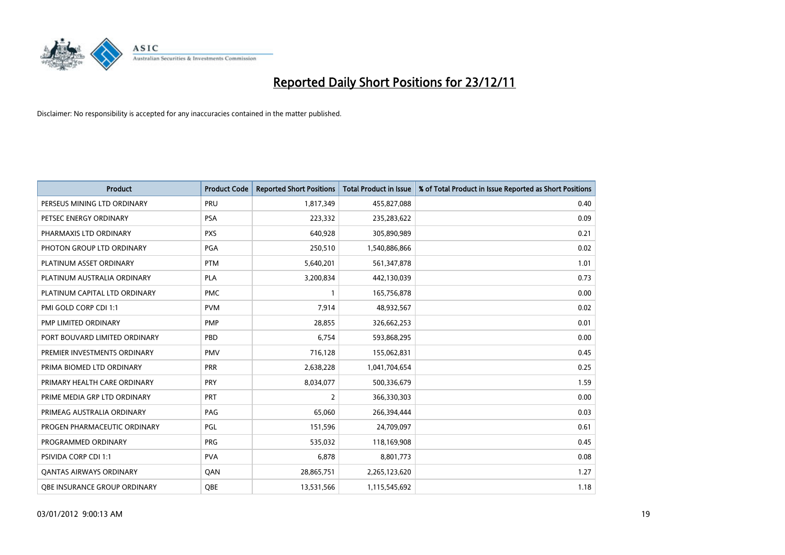

| <b>Product</b>                 | <b>Product Code</b> | <b>Reported Short Positions</b> | <b>Total Product in Issue</b> | % of Total Product in Issue Reported as Short Positions |
|--------------------------------|---------------------|---------------------------------|-------------------------------|---------------------------------------------------------|
| PERSEUS MINING LTD ORDINARY    | PRU                 | 1,817,349                       | 455,827,088                   | 0.40                                                    |
| PETSEC ENERGY ORDINARY         | <b>PSA</b>          | 223,332                         | 235,283,622                   | 0.09                                                    |
| PHARMAXIS LTD ORDINARY         | <b>PXS</b>          | 640,928                         | 305,890,989                   | 0.21                                                    |
| PHOTON GROUP LTD ORDINARY      | PGA                 | 250,510                         | 1,540,886,866                 | 0.02                                                    |
| PLATINUM ASSET ORDINARY        | <b>PTM</b>          | 5,640,201                       | 561,347,878                   | 1.01                                                    |
| PLATINUM AUSTRALIA ORDINARY    | PLA                 | 3,200,834                       | 442,130,039                   | 0.73                                                    |
| PLATINUM CAPITAL LTD ORDINARY  | <b>PMC</b>          |                                 | 165,756,878                   | 0.00                                                    |
| PMI GOLD CORP CDI 1:1          | <b>PVM</b>          | 7,914                           | 48,932,567                    | 0.02                                                    |
| PMP LIMITED ORDINARY           | <b>PMP</b>          | 28,855                          | 326,662,253                   | 0.01                                                    |
| PORT BOUVARD LIMITED ORDINARY  | PBD                 | 6,754                           | 593,868,295                   | 0.00                                                    |
| PREMIER INVESTMENTS ORDINARY   | <b>PMV</b>          | 716,128                         | 155,062,831                   | 0.45                                                    |
| PRIMA BIOMED LTD ORDINARY      | PRR                 | 2,638,228                       | 1,041,704,654                 | 0.25                                                    |
| PRIMARY HEALTH CARE ORDINARY   | <b>PRY</b>          | 8,034,077                       | 500,336,679                   | 1.59                                                    |
| PRIME MEDIA GRP LTD ORDINARY   | PRT                 | 2                               | 366,330,303                   | 0.00                                                    |
| PRIMEAG AUSTRALIA ORDINARY     | PAG                 | 65,060                          | 266,394,444                   | 0.03                                                    |
| PROGEN PHARMACEUTIC ORDINARY   | PGL                 | 151,596                         | 24,709,097                    | 0.61                                                    |
| PROGRAMMED ORDINARY            | <b>PRG</b>          | 535,032                         | 118,169,908                   | 0.45                                                    |
| <b>PSIVIDA CORP CDI 1:1</b>    | <b>PVA</b>          | 6,878                           | 8,801,773                     | 0.08                                                    |
| <b>QANTAS AIRWAYS ORDINARY</b> | QAN                 | 28,865,751                      | 2,265,123,620                 | 1.27                                                    |
| OBE INSURANCE GROUP ORDINARY   | <b>OBE</b>          | 13,531,566                      | 1,115,545,692                 | 1.18                                                    |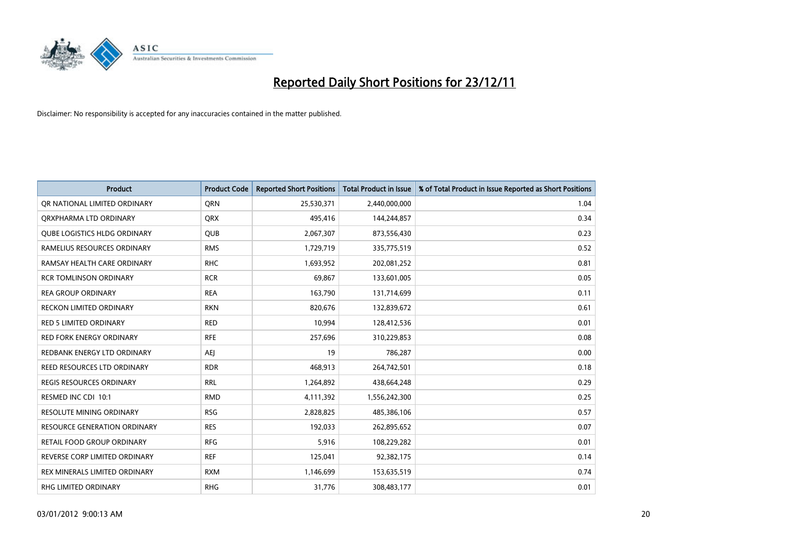

| <b>Product</b>                      | <b>Product Code</b> | <b>Reported Short Positions</b> | <b>Total Product in Issue</b> | % of Total Product in Issue Reported as Short Positions |
|-------------------------------------|---------------------|---------------------------------|-------------------------------|---------------------------------------------------------|
| OR NATIONAL LIMITED ORDINARY        | <b>ORN</b>          | 25,530,371                      | 2,440,000,000                 | 1.04                                                    |
| ORXPHARMA LTD ORDINARY              | <b>QRX</b>          | 495,416                         | 144,244,857                   | 0.34                                                    |
| <b>QUBE LOGISTICS HLDG ORDINARY</b> | QUB                 | 2,067,307                       | 873,556,430                   | 0.23                                                    |
| RAMELIUS RESOURCES ORDINARY         | <b>RMS</b>          | 1,729,719                       | 335,775,519                   | 0.52                                                    |
| RAMSAY HEALTH CARE ORDINARY         | <b>RHC</b>          | 1,693,952                       | 202,081,252                   | 0.81                                                    |
| <b>RCR TOMLINSON ORDINARY</b>       | <b>RCR</b>          | 69,867                          | 133,601,005                   | 0.05                                                    |
| <b>REA GROUP ORDINARY</b>           | <b>REA</b>          | 163,790                         | 131,714,699                   | 0.11                                                    |
| RECKON LIMITED ORDINARY             | <b>RKN</b>          | 820,676                         | 132,839,672                   | 0.61                                                    |
| <b>RED 5 LIMITED ORDINARY</b>       | <b>RED</b>          | 10,994                          | 128,412,536                   | 0.01                                                    |
| <b>RED FORK ENERGY ORDINARY</b>     | <b>RFE</b>          | 257,696                         | 310,229,853                   | 0.08                                                    |
| REDBANK ENERGY LTD ORDINARY         | AEI                 | 19                              | 786,287                       | 0.00                                                    |
| REED RESOURCES LTD ORDINARY         | <b>RDR</b>          | 468,913                         | 264,742,501                   | 0.18                                                    |
| REGIS RESOURCES ORDINARY            | <b>RRL</b>          | 1,264,892                       | 438,664,248                   | 0.29                                                    |
| RESMED INC CDI 10:1                 | <b>RMD</b>          | 4,111,392                       | 1,556,242,300                 | 0.25                                                    |
| <b>RESOLUTE MINING ORDINARY</b>     | <b>RSG</b>          | 2,828,825                       | 485,386,106                   | 0.57                                                    |
| RESOURCE GENERATION ORDINARY        | <b>RES</b>          | 192,033                         | 262,895,652                   | 0.07                                                    |
| RETAIL FOOD GROUP ORDINARY          | <b>RFG</b>          | 5,916                           | 108,229,282                   | 0.01                                                    |
| REVERSE CORP LIMITED ORDINARY       | <b>REF</b>          | 125,041                         | 92,382,175                    | 0.14                                                    |
| REX MINERALS LIMITED ORDINARY       | <b>RXM</b>          | 1,146,699                       | 153,635,519                   | 0.74                                                    |
| RHG LIMITED ORDINARY                | <b>RHG</b>          | 31,776                          | 308,483,177                   | 0.01                                                    |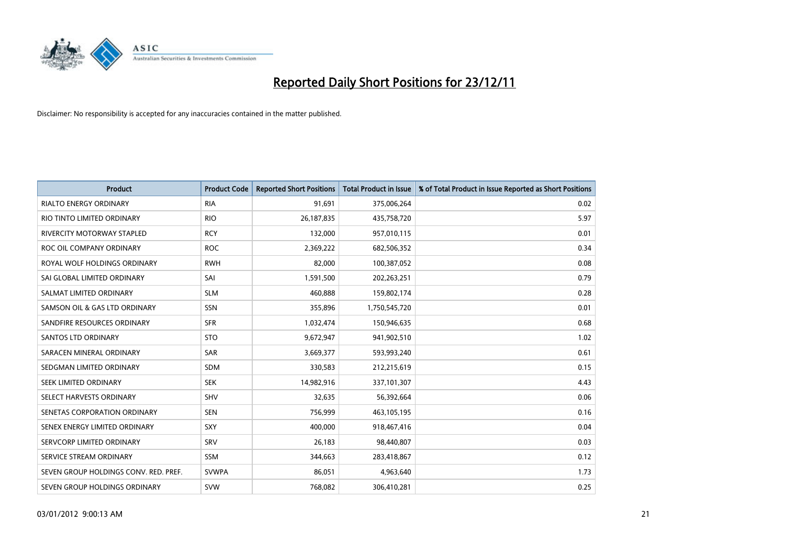

| <b>Product</b>                        | <b>Product Code</b> | <b>Reported Short Positions</b> | <b>Total Product in Issue</b> | % of Total Product in Issue Reported as Short Positions |
|---------------------------------------|---------------------|---------------------------------|-------------------------------|---------------------------------------------------------|
| <b>RIALTO ENERGY ORDINARY</b>         | <b>RIA</b>          | 91,691                          | 375,006,264                   | 0.02                                                    |
| RIO TINTO LIMITED ORDINARY            | <b>RIO</b>          | 26,187,835                      | 435,758,720                   | 5.97                                                    |
| <b>RIVERCITY MOTORWAY STAPLED</b>     | <b>RCY</b>          | 132,000                         | 957,010,115                   | 0.01                                                    |
| ROC OIL COMPANY ORDINARY              | <b>ROC</b>          | 2,369,222                       | 682,506,352                   | 0.34                                                    |
| ROYAL WOLF HOLDINGS ORDINARY          | <b>RWH</b>          | 82,000                          | 100,387,052                   | 0.08                                                    |
| SAI GLOBAL LIMITED ORDINARY           | SAI                 | 1,591,500                       | 202,263,251                   | 0.79                                                    |
| SALMAT LIMITED ORDINARY               | <b>SLM</b>          | 460,888                         | 159,802,174                   | 0.28                                                    |
| SAMSON OIL & GAS LTD ORDINARY         | SSN                 | 355,896                         | 1,750,545,720                 | 0.01                                                    |
| SANDFIRE RESOURCES ORDINARY           | <b>SFR</b>          | 1,032,474                       | 150,946,635                   | 0.68                                                    |
| <b>SANTOS LTD ORDINARY</b>            | <b>STO</b>          | 9,672,947                       | 941,902,510                   | 1.02                                                    |
| SARACEN MINERAL ORDINARY              | SAR                 | 3,669,377                       | 593,993,240                   | 0.61                                                    |
| SEDGMAN LIMITED ORDINARY              | <b>SDM</b>          | 330,583                         | 212,215,619                   | 0.15                                                    |
| SEEK LIMITED ORDINARY                 | <b>SEK</b>          | 14,982,916                      | 337,101,307                   | 4.43                                                    |
| SELECT HARVESTS ORDINARY              | SHV                 | 32,635                          | 56,392,664                    | 0.06                                                    |
| SENETAS CORPORATION ORDINARY          | <b>SEN</b>          | 756,999                         | 463,105,195                   | 0.16                                                    |
| SENEX ENERGY LIMITED ORDINARY         | SXY                 | 400,000                         | 918,467,416                   | 0.04                                                    |
| SERVCORP LIMITED ORDINARY             | SRV                 | 26,183                          | 98,440,807                    | 0.03                                                    |
| SERVICE STREAM ORDINARY               | <b>SSM</b>          | 344,663                         | 283,418,867                   | 0.12                                                    |
| SEVEN GROUP HOLDINGS CONV. RED. PREF. | <b>SVWPA</b>        | 86,051                          | 4,963,640                     | 1.73                                                    |
| SEVEN GROUP HOLDINGS ORDINARY         | <b>SVW</b>          | 768,082                         | 306,410,281                   | 0.25                                                    |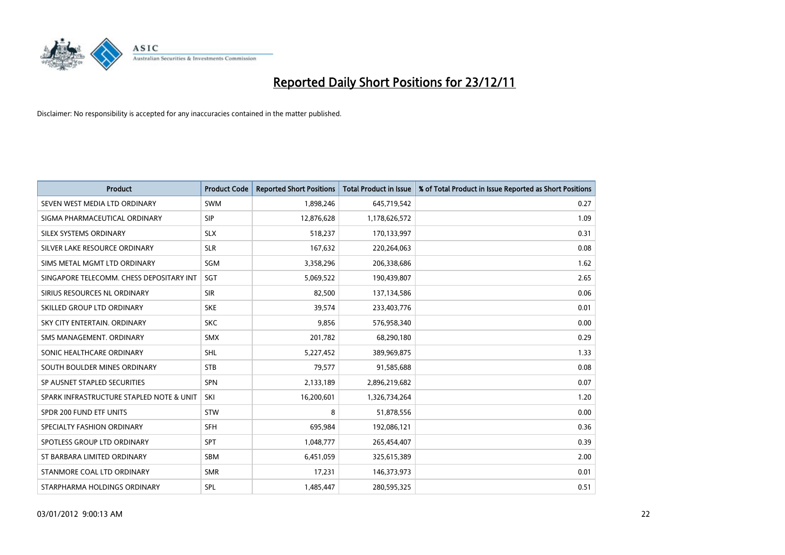

| <b>Product</b>                           | <b>Product Code</b> | <b>Reported Short Positions</b> | <b>Total Product in Issue</b> | % of Total Product in Issue Reported as Short Positions |
|------------------------------------------|---------------------|---------------------------------|-------------------------------|---------------------------------------------------------|
| SEVEN WEST MEDIA LTD ORDINARY            | <b>SWM</b>          | 1,898,246                       | 645,719,542                   | 0.27                                                    |
| SIGMA PHARMACEUTICAL ORDINARY            | <b>SIP</b>          | 12,876,628                      | 1,178,626,572                 | 1.09                                                    |
| <b>SILEX SYSTEMS ORDINARY</b>            | <b>SLX</b>          | 518,237                         | 170,133,997                   | 0.31                                                    |
| SILVER LAKE RESOURCE ORDINARY            | <b>SLR</b>          | 167,632                         | 220,264,063                   | 0.08                                                    |
| SIMS METAL MGMT LTD ORDINARY             | SGM                 | 3,358,296                       | 206,338,686                   | 1.62                                                    |
| SINGAPORE TELECOMM. CHESS DEPOSITARY INT | <b>SGT</b>          | 5,069,522                       | 190,439,807                   | 2.65                                                    |
| SIRIUS RESOURCES NL ORDINARY             | <b>SIR</b>          | 82,500                          | 137,134,586                   | 0.06                                                    |
| SKILLED GROUP LTD ORDINARY               | <b>SKE</b>          | 39,574                          | 233,403,776                   | 0.01                                                    |
| SKY CITY ENTERTAIN, ORDINARY             | <b>SKC</b>          | 9,856                           | 576,958,340                   | 0.00                                                    |
| SMS MANAGEMENT, ORDINARY                 | <b>SMX</b>          | 201,782                         | 68,290,180                    | 0.29                                                    |
| SONIC HEALTHCARE ORDINARY                | <b>SHL</b>          | 5,227,452                       | 389,969,875                   | 1.33                                                    |
| SOUTH BOULDER MINES ORDINARY             | <b>STB</b>          | 79,577                          | 91,585,688                    | 0.08                                                    |
| SP AUSNET STAPLED SECURITIES             | <b>SPN</b>          | 2,133,189                       | 2,896,219,682                 | 0.07                                                    |
| SPARK INFRASTRUCTURE STAPLED NOTE & UNIT | SKI                 | 16,200,601                      | 1,326,734,264                 | 1.20                                                    |
| SPDR 200 FUND ETF UNITS                  | <b>STW</b>          | 8                               | 51,878,556                    | 0.00                                                    |
| SPECIALTY FASHION ORDINARY               | <b>SFH</b>          | 695,984                         | 192,086,121                   | 0.36                                                    |
| SPOTLESS GROUP LTD ORDINARY              | <b>SPT</b>          | 1,048,777                       | 265,454,407                   | 0.39                                                    |
| ST BARBARA LIMITED ORDINARY              | <b>SBM</b>          | 6,451,059                       | 325,615,389                   | 2.00                                                    |
| STANMORE COAL LTD ORDINARY               | <b>SMR</b>          | 17,231                          | 146,373,973                   | 0.01                                                    |
| STARPHARMA HOLDINGS ORDINARY             | SPL                 | 1,485,447                       | 280,595,325                   | 0.51                                                    |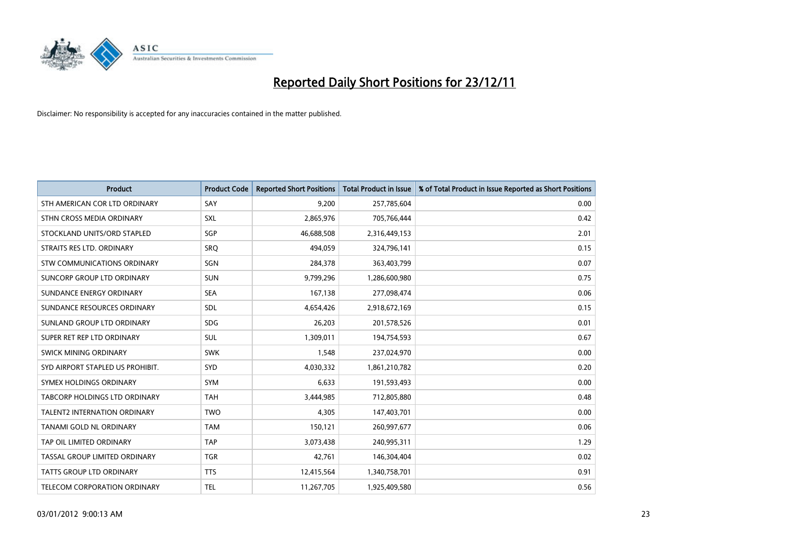

| <b>Product</b>                       | <b>Product Code</b> | <b>Reported Short Positions</b> | <b>Total Product in Issue</b> | % of Total Product in Issue Reported as Short Positions |
|--------------------------------------|---------------------|---------------------------------|-------------------------------|---------------------------------------------------------|
| STH AMERICAN COR LTD ORDINARY        | SAY                 | 9,200                           | 257,785,604                   | 0.00                                                    |
| STHN CROSS MEDIA ORDINARY            | <b>SXL</b>          | 2,865,976                       | 705,766,444                   | 0.42                                                    |
| STOCKLAND UNITS/ORD STAPLED          | <b>SGP</b>          | 46,688,508                      | 2,316,449,153                 | 2.01                                                    |
| STRAITS RES LTD. ORDINARY            | SRO                 | 494,059                         | 324,796,141                   | 0.15                                                    |
| <b>STW COMMUNICATIONS ORDINARY</b>   | SGN                 | 284,378                         | 363,403,799                   | 0.07                                                    |
| SUNCORP GROUP LTD ORDINARY           | <b>SUN</b>          | 9,799,296                       | 1,286,600,980                 | 0.75                                                    |
| SUNDANCE ENERGY ORDINARY             | <b>SEA</b>          | 167,138                         | 277,098,474                   | 0.06                                                    |
| SUNDANCE RESOURCES ORDINARY          | <b>SDL</b>          | 4,654,426                       | 2,918,672,169                 | 0.15                                                    |
| SUNLAND GROUP LTD ORDINARY           | <b>SDG</b>          | 26,203                          | 201,578,526                   | 0.01                                                    |
| SUPER RET REP LTD ORDINARY           | <b>SUL</b>          | 1,309,011                       | 194,754,593                   | 0.67                                                    |
| <b>SWICK MINING ORDINARY</b>         | <b>SWK</b>          | 1,548                           | 237,024,970                   | 0.00                                                    |
| SYD AIRPORT STAPLED US PROHIBIT.     | <b>SYD</b>          | 4,030,332                       | 1,861,210,782                 | 0.20                                                    |
| SYMEX HOLDINGS ORDINARY              | <b>SYM</b>          | 6,633                           | 191,593,493                   | 0.00                                                    |
| <b>TABCORP HOLDINGS LTD ORDINARY</b> | <b>TAH</b>          | 3,444,985                       | 712,805,880                   | 0.48                                                    |
| <b>TALENT2 INTERNATION ORDINARY</b>  | <b>TWO</b>          | 4,305                           | 147,403,701                   | 0.00                                                    |
| TANAMI GOLD NL ORDINARY              | <b>TAM</b>          | 150,121                         | 260,997,677                   | 0.06                                                    |
| TAP OIL LIMITED ORDINARY             | <b>TAP</b>          | 3,073,438                       | 240,995,311                   | 1.29                                                    |
| TASSAL GROUP LIMITED ORDINARY        | <b>TGR</b>          | 42,761                          | 146,304,404                   | 0.02                                                    |
| <b>TATTS GROUP LTD ORDINARY</b>      | <b>TTS</b>          | 12,415,564                      | 1,340,758,701                 | 0.91                                                    |
| TELECOM CORPORATION ORDINARY         | <b>TEL</b>          | 11,267,705                      | 1,925,409,580                 | 0.56                                                    |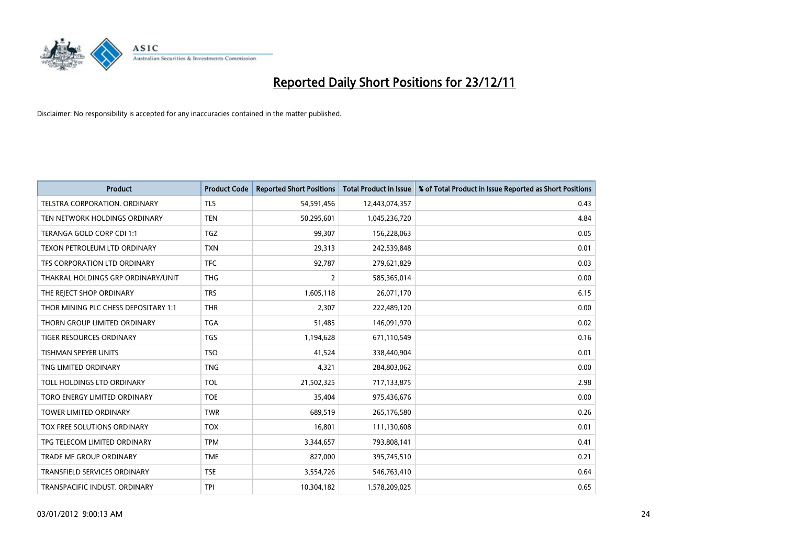

| <b>Product</b>                       | <b>Product Code</b> | <b>Reported Short Positions</b> | <b>Total Product in Issue</b> | % of Total Product in Issue Reported as Short Positions |
|--------------------------------------|---------------------|---------------------------------|-------------------------------|---------------------------------------------------------|
| TELSTRA CORPORATION, ORDINARY        | <b>TLS</b>          | 54,591,456                      | 12,443,074,357                | 0.43                                                    |
| TEN NETWORK HOLDINGS ORDINARY        | <b>TEN</b>          | 50,295,601                      | 1,045,236,720                 | 4.84                                                    |
| TERANGA GOLD CORP CDI 1:1            | <b>TGZ</b>          | 99,307                          | 156,228,063                   | 0.05                                                    |
| TEXON PETROLEUM LTD ORDINARY         | <b>TXN</b>          | 29,313                          | 242,539,848                   | 0.01                                                    |
| TFS CORPORATION LTD ORDINARY         | <b>TFC</b>          | 92,787                          | 279,621,829                   | 0.03                                                    |
| THAKRAL HOLDINGS GRP ORDINARY/UNIT   | <b>THG</b>          | $\overline{2}$                  | 585,365,014                   | 0.00                                                    |
| THE REJECT SHOP ORDINARY             | <b>TRS</b>          | 1,605,118                       | 26,071,170                    | 6.15                                                    |
| THOR MINING PLC CHESS DEPOSITARY 1:1 | <b>THR</b>          | 2,307                           | 222,489,120                   | 0.00                                                    |
| THORN GROUP LIMITED ORDINARY         | <b>TGA</b>          | 51,485                          | 146,091,970                   | 0.02                                                    |
| <b>TIGER RESOURCES ORDINARY</b>      | <b>TGS</b>          | 1,194,628                       | 671,110,549                   | 0.16                                                    |
| <b>TISHMAN SPEYER UNITS</b>          | <b>TSO</b>          | 41,524                          | 338,440,904                   | 0.01                                                    |
| TNG LIMITED ORDINARY                 | <b>TNG</b>          | 4,321                           | 284,803,062                   | 0.00                                                    |
| TOLL HOLDINGS LTD ORDINARY           | <b>TOL</b>          | 21,502,325                      | 717,133,875                   | 2.98                                                    |
| TORO ENERGY LIMITED ORDINARY         | <b>TOE</b>          | 35,404                          | 975,436,676                   | 0.00                                                    |
| <b>TOWER LIMITED ORDINARY</b>        | <b>TWR</b>          | 689,519                         | 265,176,580                   | 0.26                                                    |
| TOX FREE SOLUTIONS ORDINARY          | <b>TOX</b>          | 16,801                          | 111,130,608                   | 0.01                                                    |
| TPG TELECOM LIMITED ORDINARY         | <b>TPM</b>          | 3,344,657                       | 793,808,141                   | 0.41                                                    |
| TRADE ME GROUP ORDINARY              | <b>TME</b>          | 827,000                         | 395,745,510                   | 0.21                                                    |
| TRANSFIELD SERVICES ORDINARY         | <b>TSE</b>          | 3,554,726                       | 546,763,410                   | 0.64                                                    |
| TRANSPACIFIC INDUST. ORDINARY        | <b>TPI</b>          | 10,304,182                      | 1,578,209,025                 | 0.65                                                    |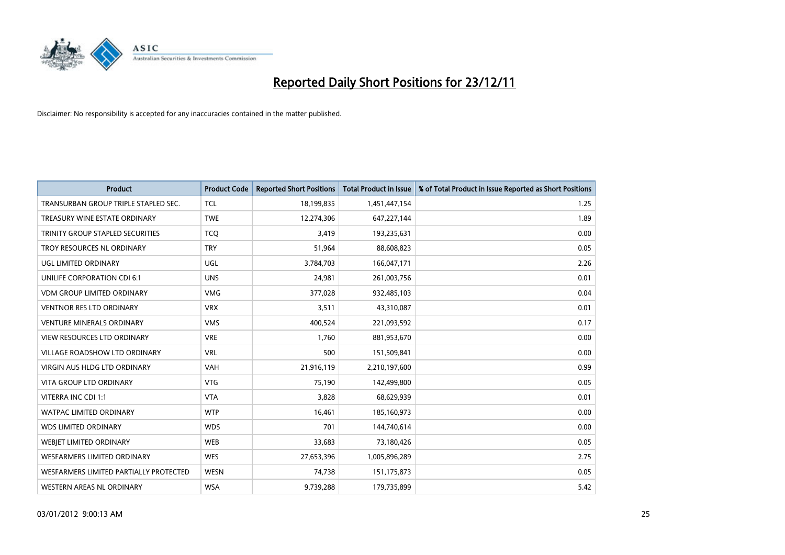

| <b>Product</b>                          | <b>Product Code</b> | <b>Reported Short Positions</b> | <b>Total Product in Issue</b> | % of Total Product in Issue Reported as Short Positions |
|-----------------------------------------|---------------------|---------------------------------|-------------------------------|---------------------------------------------------------|
| TRANSURBAN GROUP TRIPLE STAPLED SEC.    | <b>TCL</b>          | 18,199,835                      | 1,451,447,154                 | 1.25                                                    |
| TREASURY WINE ESTATE ORDINARY           | <b>TWE</b>          | 12,274,306                      | 647,227,144                   | 1.89                                                    |
| <b>TRINITY GROUP STAPLED SECURITIES</b> | <b>TCQ</b>          | 3,419                           | 193,235,631                   | 0.00                                                    |
| TROY RESOURCES NL ORDINARY              | <b>TRY</b>          | 51,964                          | 88,608,823                    | 0.05                                                    |
| <b>UGL LIMITED ORDINARY</b>             | UGL                 | 3,784,703                       | 166,047,171                   | 2.26                                                    |
| UNILIFE CORPORATION CDI 6:1             | <b>UNS</b>          | 24,981                          | 261,003,756                   | 0.01                                                    |
| <b>VDM GROUP LIMITED ORDINARY</b>       | <b>VMG</b>          | 377,028                         | 932,485,103                   | 0.04                                                    |
| <b>VENTNOR RES LTD ORDINARY</b>         | <b>VRX</b>          | 3,511                           | 43,310,087                    | 0.01                                                    |
| <b>VENTURE MINERALS ORDINARY</b>        | <b>VMS</b>          | 400,524                         | 221,093,592                   | 0.17                                                    |
| <b>VIEW RESOURCES LTD ORDINARY</b>      | <b>VRE</b>          | 1,760                           | 881,953,670                   | 0.00                                                    |
| <b>VILLAGE ROADSHOW LTD ORDINARY</b>    | <b>VRL</b>          | 500                             | 151,509,841                   | 0.00                                                    |
| <b>VIRGIN AUS HLDG LTD ORDINARY</b>     | VAH                 | 21,916,119                      | 2,210,197,600                 | 0.99                                                    |
| <b>VITA GROUP LTD ORDINARY</b>          | <b>VTG</b>          | 75,190                          | 142,499,800                   | 0.05                                                    |
| VITERRA INC CDI 1:1                     | <b>VTA</b>          | 3,828                           | 68,629,939                    | 0.01                                                    |
| <b>WATPAC LIMITED ORDINARY</b>          | <b>WTP</b>          | 16,461                          | 185,160,973                   | 0.00                                                    |
| <b>WDS LIMITED ORDINARY</b>             | <b>WDS</b>          | 701                             | 144,740,614                   | 0.00                                                    |
| WEBIET LIMITED ORDINARY                 | <b>WEB</b>          | 33,683                          | 73,180,426                    | 0.05                                                    |
| <b>WESFARMERS LIMITED ORDINARY</b>      | <b>WES</b>          | 27,653,396                      | 1,005,896,289                 | 2.75                                                    |
| WESFARMERS LIMITED PARTIALLY PROTECTED  | <b>WESN</b>         | 74,738                          | 151,175,873                   | 0.05                                                    |
| WESTERN AREAS NL ORDINARY               | <b>WSA</b>          | 9,739,288                       | 179,735,899                   | 5.42                                                    |